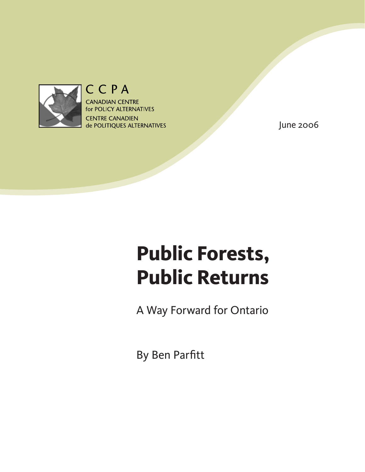

# CCPA

**CANADIAN CENTRE** for POLICY ALTERNATIVES **CENTRE CANADIEN** de POLITIQUES ALTERNATIVES

June 2006

# **Public Forests, Public Returns**

A Way Forward for Ontario

By Ben Parfitt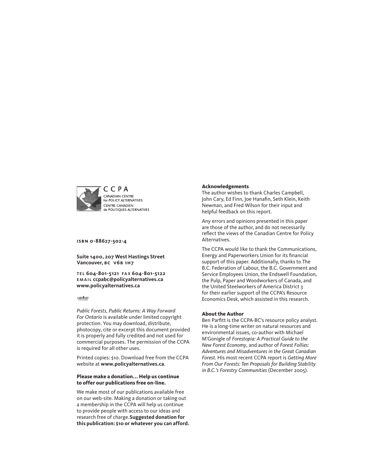

**isbn 0-88627-502-4** 

**Suite 1400, 207 West Hastings Street Vancouver, bc v6b 1h7**

tel **604-801-5121** fa x **604-801-5122** email **ccpabc@policyalternatives.ca <www.policyalternatives.ca>**

 $CAN \frac{4}{\sqrt{3}} 567$ 

*Public Forests, Public Returns: A Way Forward For Ontario* is available under limited copyright protection. You may download, distribute, photocopy, cite or excerpt this document provided it is properly and fully credited and not used for commercial purposes. The permission of the CCPA is required for all other uses.

Printed copies: \$10. Download free from the CCPA website at **<www.policyalternatives.ca>**.

#### **Please make a donation... Help us continue to offer our publications free on-line.**

We make most of our publications available free on our web-site. Making a donation or taking out a membership in the CCPA will help us continue to provide people with access to our ideas and research free of charge.**Suggested donation for this publication: \$10 or whatever you can afford.**

#### **Acknowledgements**

The author wishes to thank Charles Campbell, John Cary, Ed Finn, Joe Hanafin, Seth Klein, Keith Newman, and Fred Wilson for their input and helpful feedback on this report.

Any errors and opinions presented in this paper are those of the author, and do not necessarily reflect the views of the Canadian Centre for Policy Alternatives.

The CCPA would like to thank the Communications, Energy and Paperworkers Union for its financial support of this paper. Additionally, thanks to The B.C. Federation of Labour, the B.C. Government and Service Employees Union, the Endswell Foundation, the Pulp, Paper and Woodworkers of Canada, and the United Steelworkers of America District 3 for their earlier support of the CCPA's Resource Economics Desk, which assisted in this research.

#### **About the Author**

Ben Parfitt is the CCPA-BC's resource policy analyst. He is a long-time writer on natural resources and environmental issues, co-author with Michael M'Gonigle of *Forestopia: A Practical Guide to the New Forest Economy*, and author of *Forest Follies: Adventures and Misadventures in the Great Canadian Forest*. His most recent CCPA report is *Getting More From Our Forests: Ten Proposals for Building Stability in B.C.'s Forestry Communities* (December 2005).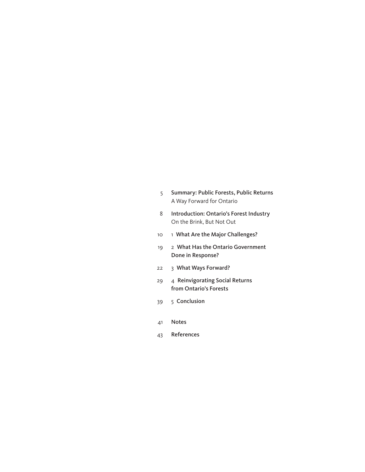| Summary: Public Forests, Public Returns |
|-----------------------------------------|
| A Way Forward for Ontario               |

- 8 [Introduction: Ontario's Forest Industry](#page-7-0) On the [Brink,](#page-7-0) But Not Out
- 10 1 [What Are the Major Challenges?](#page-9-0)
- 19 2 [What Has the Ontario Government](#page-18-0)  [Done in Response?](#page-18-0)
- 22 3 [What Ways Forward?](#page-21-0)
- 29 4 [Reinvigorating Social Returns](#page-28-0)  [from Ontario's Forests](#page-28-0)
- 39 5 [Conclusion](#page-38-0)
- 41 [Notes](#page-40-0)
- 43 [References](#page-42-0)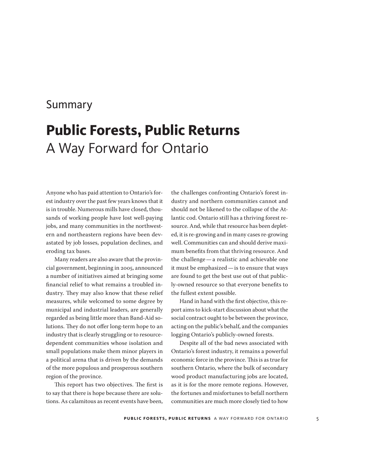## <span id="page-4-0"></span>Summary

# **Public Forests, Public Returns** A Way Forward for Ontario

Anyone who has paid attention to Ontario's forest industry over the past few years knows that it is in trouble. Numerous mills have closed, thousands of working people have lost well-paying jobs, and many communities in the northwestern and northeastern regions have been devastated by job losses, population declines, and eroding tax bases.

Many readers are also aware that the provincial government, beginning in 2005, announced a number of initiatives aimed at bringing some financial relief to what remains a troubled industry. They may also know that these relief measures, while welcomed to some degree by municipal and industrial leaders, are generally regarded as being little more than Band-Aid solutions. They do not offer long-term hope to an industry that is clearly struggling or to resourcedependent communities whose isolation and small populations make them minor players in a political arena that is driven by the demands of the more populous and prosperous southern region of the province.

This report has two objectives. The first is to say that there is hope because there are solutions. As calamitous as recent events have been,

the challenges confronting Ontario's forest industry and northern communities cannot and should not be likened to the collapse of the Atlantic cod. Ontario still has a thriving forest resource. And, while that resource has been depleted, it is re-growing and in many cases re-growing well. Communities can and should derive maximum benefits from that thriving resource. And the challenge—a realistic and achievable one it must be emphasized—is to ensure that ways are found to get the best use out of that publicly-owned resource so that everyone benefits to the fullest extent possible.

Hand in hand with the first objective, this report aims to kick-start discussion about what the social contract ought to be between the province, acting on the public's behalf, and the companies logging Ontario's publicly-owned forests.

Despite all of the bad news associated with Ontario's forest industry, it remains a powerful economic force in the province. This is as true for southern Ontario, where the bulk of secondary wood product manufacturing jobs are located, as it is for the more remote regions. However, the fortunes and misfortunes to befall northern communities are much more closely tied to how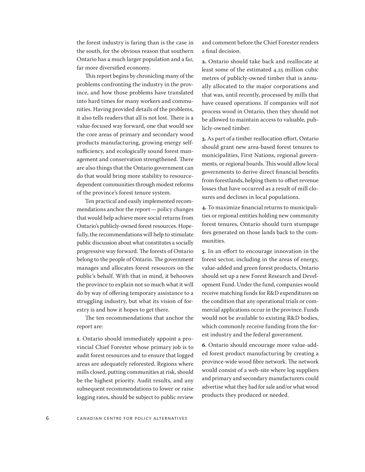the forest industry is faring than is the case in the south, for the obvious reason that southern Ontario has a much larger population and a far, far more diversified economy.

This report begins by chronicling many of the problems confronting the industry in the province, and how those problems have translated into hard times for many workers and communities. Having provided details of the problems, it also tells readers that all is not lost. There is a value-focused way forward, one that would see the core areas of primary and secondary wood products manufacturing, growing energy selfsufficiency, and ecologically sound forest management and conservation strengthened. There are also things that the Ontario government can do that would bring more stability to resourcedependent communities through modest reforms of the province's forest tenure system.

Ten practical and easily implemented recommendations anchor the report—policy changes that would help achieve more social returns from Ontario's publicly-owned forest resources. Hopefully, the recommendations will help to stimulate public discussion about what constitutes a socially progressive way forward. The forests of Ontario belong to the people of Ontario. The government manages and allocates forest resources on the public's behalf. With that in mind, it behooves the province to explain not so much what it will do by way of offering temporary assistance to a struggling industry, but what its vision of forestry is and how it hopes to get there.

The ten recommendations that anchor the report are:

**1**. Ontario should immediately appoint a provincial Chief Forester whose primary job is to audit forest resources and to ensure that logged areas are adequately reforested. Regions where mills closed, putting communities at risk, should be the highest priority. Audit results, and any subsequent recommendations to lower or raise logging rates, should be subject to public review and comment before the Chief Forester renders a final decision.

**2.** Ontario should take back and reallocate at least some of the estimated 4.25 million cubic metres of publicly-owned timber that is annually allocated to the major corporations and that was, until recently, processed by mills that have ceased operations. If companies will not process wood in Ontario, then they should not be allowed to maintain access to valuable, publicly-owned timber.

**3.** As part of a timber reallocation effort, Ontario should grant new area-based forest tenures to municipalities, First Nations, regional governments, or regional boards. This would allow local governments to derive direct financial benefits from forestlands, helping them to offset revenue losses that have occurred as a result of mill closures and declines in local populations.

**4.** To maximize financial returns to municipalities or regional entities holding new community forest tenures, Ontario should turn stumpage fees generated on those lands back to the communities.

**5**. In an effort to encourage innovation in the forest sector, including in the areas of energy, value-added and green forest products, Ontario should set up a new Forest Research and Development Fund. Under the fund, companies would receive matching funds for R&D expenditures on the condition that any operational trials or commercial applications occur in the province. Funds would not be available to existing R&D bodies, which commonly receive funding from the forest industry and the federal government.

**6**. Ontario should encourage more value-added forest product manufacturing by creating a province-wide wood fibre network. The network would consist of a web-site where log suppliers and primary and secondary manufacturers could advertise what they had for sale and/or what wood products they produced or needed.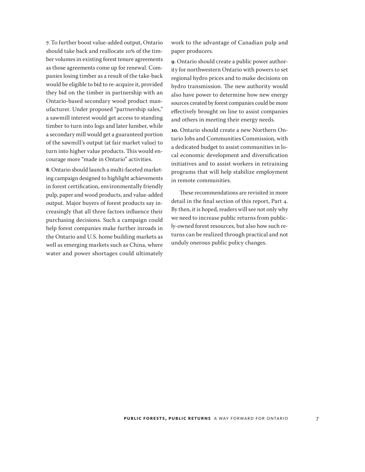**7**. To further boost value-added output, Ontario should take back and reallocate 10% of the timber volumes in existing forest tenure agreements as those agreements come up for renewal. Companies losing timber as a result of the take-back would be eligible to bid to re-acquire it, provided they bid on the timber in partnership with an Ontario-based secondary wood product manufacturer. Under proposed "partnership sales," a sawmill interest would get access to standing timber to turn into logs and later lumber, while a secondary mill would get a guaranteed portion of the sawmill's output (at fair market value) to turn into higher value products. This would encourage more "made in Ontario" activities.

**8**. Ontario should launch a multi-faceted marketing campaign designed to highlight achievements in forest certification, environmentally friendly pulp, paper and wood products, and value-added output. Major buyers of forest products say increasingly that all three factors influence their purchasing decisions. Such a campaign could help forest companies make further inroads in the Ontario and U.S. home building markets as well as emerging markets such as China, where water and power shortages could ultimately

work to the advantage of Canadian pulp and paper producers.

**9**. Ontario should create a public power authority for northwestern Ontario with powers to set regional hydro prices and to make decisions on hydro transmission. The new authority would also have power to determine how new energy sources created by forest companies could be more effectively brought on line to assist companies and others in meeting their energy needs.

**10.** Ontario should create a new Northern Ontario Jobs and Communities Commission, with a dedicated budget to assist communities in local economic development and diversification initiatives and to assist workers in retraining programs that will help stabilize employment in remote communities.

These recommendations are revisited in more detail in the final section of this report, Part 4. By then, it is hoped, readers will see not only why we need to increase public returns from publicly-owned forest resources, but also how such returns can be realized through practical and not unduly onerous public policy changes.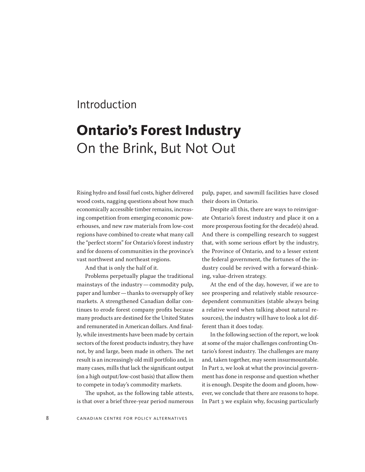## <span id="page-7-0"></span>Introduction

# **Ontario's Forest Industry** On the Brink, But Not Out

Rising hydro and fossil fuel costs, higher delivered wood costs, nagging questions about how much economically accessible timber remains, increasing competition from emerging economic powerhouses, and new raw materials from low-cost regions have combined to create what many call the "perfect storm" for Ontario's forest industry and for dozens of communities in the province's vast northwest and northeast regions.

And that is only the half of it.

Problems perpetually plague the traditional mainstays of the industry—commodity pulp, paper and lumber—thanks to oversupply of key markets. A strengthened Canadian dollar continues to erode forest company profits because many products are destined for the United States and remunerated in American dollars. And finally, while investments have been made by certain sectors of the forest products industry, they have not, by and large, been made in others. The net result is an increasingly old mill portfolio and, in many cases, mills that lack the significant output (on a high output/low-cost basis) that allow them to compete in today's commodity markets.

The upshot, as the following table attests, is that over a brief three-year period numerous

pulp, paper, and sawmill facilities have closed their doors in Ontario.

Despite all this, there are ways to reinvigorate Ontario's forest industry and place it on a more prosperous footing for the decade(s) ahead. And there is compelling research to suggest that, with some serious effort by the industry, the Province of Ontario, and to a lesser extent the federal government, the fortunes of the industry could be revived with a forward-thinking, value-driven strategy.

At the end of the day, however, if we are to see prospering and relatively stable resourcedependent communities (stable always being a relative word when talking about natural resources), the industry will have to look a lot different than it does today.

In the following section of the report, we look at some of the major challenges confronting Ontario's forest industry. The challenges are many and, taken together, may seem insurmountable. In Part 2, we look at what the provincial government has done in response and question whether it is enough. Despite the doom and gloom, however, we conclude that there are reasons to hope. In Part 3 we explain why, focusing particularly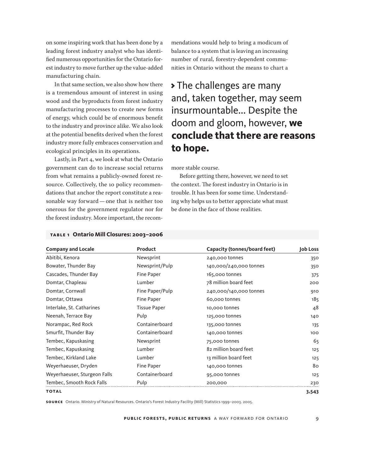on some inspiring work that has been done by a leading forest industry analyst who has identified numerous opportunities for the Ontario forest industry to move further up the value-added manufacturing chain.

In that same section, we also show how there is a tremendous amount of interest in using wood and the byproducts from forest industry manufacturing processes to create new forms of energy, which could be of enormous benefit to the industry and province alike. We also look at the potential benefits derived when the forest industry more fully embraces conservation and ecological principles in its operations.

Lastly, in Part 4, we look at what the Ontario government can do to increase social returns from what remains a publicly-owned forest resource. Collectively, the 10 policy recommendations that anchor the report constitute a reasonable way forward—one that is neither too onerous for the government regulator nor for the forest industry. More important, the recommendations would help to bring a modicum of balance to a system that is leaving an increasing number of rural, forestry-dependent communities in Ontario without the means to chart a

> The challenges are many and, taken together, may seem insurmountable... Despite the doom and gloom, however, **we conclude that there are reasons to hope.**

more stable course.

Before getting there, however, we need to set the context. The forest industry in Ontario is in trouble. It has been for some time. Understanding why helps us to better appreciate what must be done in the face of those realities.

| <b>Company and Locale</b>    | Product             | Capacity (tonnes/board feet) | Job Loss |
|------------------------------|---------------------|------------------------------|----------|
| Abitibi, Kenora              | Newsprint           | 240,000 tonnes               | 350      |
| Bowater, Thunder Bay         | Newsprint/Pulp      | 140,000/240,000 tonnes       | 350      |
| Cascades, Thunder Bay        | Fine Paper          | 165,000 tonnes               | 375      |
| Domtar, Chapleau             | Lumber              | 78 million board feet        | 200      |
| Domtar, Cornwall             | Fine Paper/Pulp     | 240,000/140,000 tonnes       | 910      |
| Domtar, Ottawa               | Fine Paper          | 60,000 tonnes                | 185      |
| Interlake, St. Catharines    | <b>Tissue Paper</b> | 10,000 tonnes                | 48       |
| Neenah, Terrace Bay          | Pulp                | 125,000 tonnes               | 140      |
| Norampac, Red Rock           | Containerboard      | 135,000 tonnes               | 135      |
| Smurfit, Thunder Bay         | Containerboard      | 140,000 tonnes               | 100      |
| Tembec, Kapuskasing          | Newsprint           | 75,000 tonnes                | 65       |
| Tembec, Kapuskasing          | Lumber              | 82 million board feet        | 125      |
| Tembec, Kirkland Lake        | Lumber              | 13 million board feet        | 125      |
| Weyerhaeuser, Dryden         | Fine Paper          | 140,000 tonnes               | 80       |
| Weyerhaeuser, Sturgeon Falls | Containerboard      | 95,000 tonnes                | 125      |
| Tembec, Smooth Rock Falls    | Pulp                | 200,000                      | 230      |
| <b>TOTAL</b>                 |                     |                              | 3,543    |

#### **table 1 Ontario Mill Closures: 2003–2006**

**so u rce** Ontario. Ministry of Natural Resources. Ontario's Forest Industry Facility (Mill) Statistics 1999–2003. 2005.

**public forests , public returns** a way forward for ontario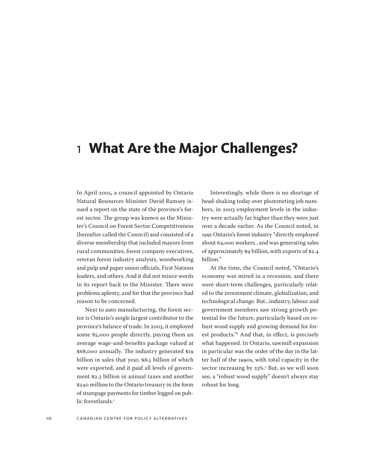# <span id="page-9-0"></span>1 **What Are the Major Challenges?**

In April 2005, a council appointed by Ontario Natural Resources Minister David Ramsey issued a report on the state of the province's forest sector. The group was known as the Minister's Council on Forest Sector Competitiveness (hereafter called the Council) and consisted of a diverse membership that included mayors from rural communities, forest company executives, veteran forest industry analysts, woodworking and pulp and paper union officials, First Nations leaders, and others. And it did not mince words in its report back to the Minister. There were problems aplenty, and for that the province had reason to be concerned.

Next to auto manufacturing, the forest sector is Ontario's single largest contributor to the province's balance of trade. In 2003, it employed some 85,000 people directly, paying them an average wage-and-benefits package valued at \$68,000 annually. The industry generated \$19 billion in sales that year, \$8.5 billion of which were exported, and it paid all levels of government \$2.3 billion in annual taxes and another \$240 million to the Ontario treasury in the form of stumpage payments for timber logged on public forestlands.<sup>1</sup>

Interestingly, while there is no shortage of head-shaking today over plummeting job numbers, in 2003 employment levels in the industry were actually far higher than they were just over a decade earlier. As the Council noted, in 1991 Ontario's forest industry "directly employed about 64,000 workers...and was generating sales of approximately \$9 billion, with exports of \$2.4 billion."

At the time, the Council noted, "Ontario's economy was mired in a recession, and there were short-term challenges, particularly related to the investment climate, globalization, and technological change. But...industry, labour and government members saw strong growth potential for the future, particularly based on robust wood supply and growing demand for forest products."2 And that, in effect, is precisely what happened. In Ontario, sawmill expansion in particular was the order of the day in the latter half of the 1990s, with total capacity in the sector increasing by 23%.3 But, as we will soon see, a "robust wood supply" doesn't always stay robust for long.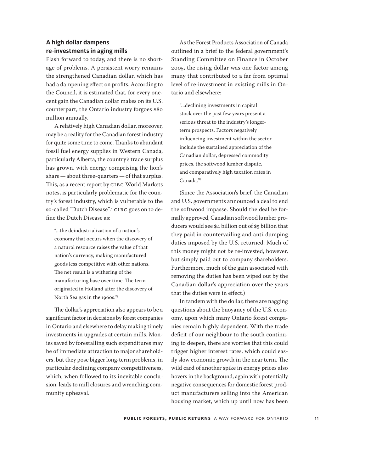### **A high dollar dampens re-investments in aging mills**

Flash forward to today, and there is no shortage of problems. A persistent worry remains the strengthened Canadian dollar, which has had a dampening effect on profits. According to the Council, it is estimated that, for every onecent gain the Canadian dollar makes on its U.S. counterpart, the Ontario industry forgoes \$80 million annually.

A relatively high Canadian dollar, moreover, may be a reality for the Canadian forest industry for quite some time to come. Thanks to abundant fossil fuel energy supplies in Western Canada, particularly Alberta, the country's trade surplus has grown, with energy comprising the lion's share—about three-quarters—of that surplus. This, as a recent report by CIBC World Markets notes, is particularly problematic for the country's forest industry, which is vulnerable to the so-called "Dutch Disease".4 CIBC goes on to define the Dutch Disease as:

"...the deindustrialization of a nation's economy that occurs when the discovery of a natural resource raises the value of that nation's currency, making manufactured goods less competitive with other nations. The net result is a withering of the manufacturing base over time. The term originated in Holland after the discovery of North Sea gas in the 1960s."5

The dollar's appreciation also appears to be a significant factor in decisions by forest companies in Ontario and elsewhere to delay making timely investments in upgrades at certain mills. Monies saved by forestalling such expenditures may be of immediate attraction to major shareholders, but they pose bigger long-term problems, in particular declining company competitiveness, which, when followed to its inevitable conclusion, leads to mill closures and wrenching community upheaval.

As the Forest Products Association of Canada outlined in a brief to the federal government's Standing Committee on Finance in October 2005, the rising dollar was one factor among many that contributed to a far from optimal level of re-investment in existing mills in Ontario and elsewhere:

"...declining investments in capital stock over the past few years present a serious threat to the industry's longerterm prospects. Factors negatively influencing investment within the sector include the sustained appreciation of the Canadian dollar, depressed commodity prices, the softwood lumber dispute, and comparatively high taxation rates in Canada."6

(Since the Association's brief, the Canadian and U.S. governments announced a deal to end the softwood impasse. Should the deal be formally approved, Canadian softwood lumber producers would see \$4 billion out of \$5 billion that they paid in countervailing and anti-dumping duties imposed by the U.S. returned. Much of this money might not be re-invested, however, but simply paid out to company shareholders. Furthermore, much of the gain associated with removing the duties has been wiped out by the Canadian dollar's appreciation over the years that the duties were in effect.)

In tandem with the dollar, there are nagging questions about the buoyancy of the U.S. economy, upon which many Ontario forest companies remain highly dependent. With the trade deficit of our neighbour to the south continuing to deepen, there are worries that this could trigger higher interest rates, which could easily slow economic growth in the near term. The wild card of another spike in energy prices also hovers in the background, again with potentially negative consequences for domestic forest product manufacturers selling into the American housing market, which up until now has been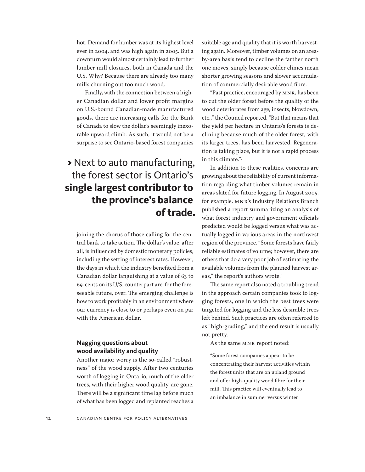hot. Demand for lumber was at its highest level ever in 2004, and was high again in 2005. But a downturn would almost certainly lead to further lumber mill closures, both in Canada and the U.S. Why? Because there are already too many mills churning out too much wood.

Finally, with the connection between a higher Canadian dollar and lower profit margins on U.S.-bound Canadian-made manufactured goods, there are increasing calls for the Bank of Canada to slow the dollar's seemingly inexorable upward climb. As such, it would not be a surprise to see Ontario-based forest companies

## > Next to auto manufacturing, the forest sector is Ontario's **single largest contributor to the province's balance of trade.**

joining the chorus of those calling for the central bank to take action. The dollar's value, after all, is influenced by domestic monetary policies, including the setting of interest rates. However, the days in which the industry benefited from a Canadian dollar languishing at a value of 63 to 69-cents on its U/S. counterpart are, for the foreseeable future, over. The emerging challenge is how to work profitably in an environment where our currency is close to or perhaps even on par with the American dollar.

### **Nagging questions about wood availability and quality**

Another major worry is the so-called "robustness" of the wood supply. After two centuries worth of logging in Ontario, much of the older trees, with their higher wood quality, are gone. There will be a significant time lag before much of what has been logged and replanted reaches a

suitable age and quality that it is worth harvesting again. Moreover, timber volumes on an areaby-area basis tend to decline the farther north one moves, simply because colder climes mean shorter growing seasons and slower accumulation of commercially desirable wood fibre.

"Past practice, encouraged by MNR, has been to cut the older forest before the quality of the wood deteriorates from age, insects, blowdown, etc.," the Council reported. "But that means that the yield per hectare in Ontario's forests is declining because much of the older forest, with its larger trees, has been harvested. Regeneration is taking place, but it is not a rapid process in this climate."7

In addition to these realities, concerns are growing about the reliability of current information regarding what timber volumes remain in areas slated for future logging. In August 2005, for example, MNR's Industry Relations Branch published a report summarizing an analysis of what forest industry and government officials predicted would be logged versus what was actually logged in various areas in the northwest region of the province. "Some forests have fairly reliable estimates of volume; however, there are others that do a very poor job of estimating the available volumes from the planned harvest areas," the report's authors wrote.<sup>8</sup>

The same report also noted a troubling trend in the approach certain companies took to logging forests, one in which the best trees were targeted for logging and the less desirable trees left behind. Such practices are often referred to as "high-grading," and the end result is usually not pretty.

As the same MNR report noted:

"Some forest companies appear to be concentrating their harvest activities within the forest units that are on upland ground and offer high-quality wood fibre for their mill. This practice will eventually lead to an imbalance in summer versus winter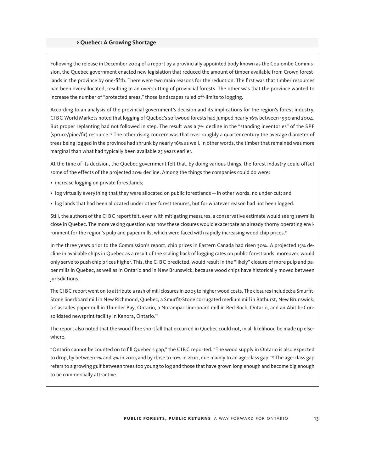### > **Quebec: A Growing Shortage**

Following the release in December 2004 of a report by a provincially appointed body known as the Coulombe Commission, the Quebec government enacted new legislation that reduced the amount of timber available from Crown forestlands in the province by one-fifth. There were two main reasons for the reduction. The first was that timber resources had been over-allocated, resulting in an over-cutting of provincial forests. The other was that the province wanted to increase the number of "protected areas," those landscapes ruled off-limits to logging.

According to an analysis of the provincial government's decision and its implications for the region's forest industry, CIBC World Markets noted that logging of Quebec's softwood forests had jumped nearly 16% between 1990 and 2004. But proper replanting had not followed in step. The result was a 7% decline in the "standing inventories" of the SPF (spruce/pine/fir) resource.10 The other rising concern was that over roughly a quarter century the average diameter of trees being logged in the province had shrunk by nearly 16% as well. In other words, the timber that remained was more marginal than what had typically been available 25 years earlier.

At the time of its decision, the Quebec government felt that, by doing various things, the forest industry could offset some of the effects of the projected 20% decline. Among the things the companies could do were:

- increase logging on private forestlands;
- log virtually everything that they were allocated on public forestlands—in other words, no under-cut; and
- log lands that had been allocated under other forest tenures, but for whatever reason had not been logged.

Still, the authors of the CIBC report felt, even with mitigating measures, a conservative estimate would see 13 sawmills close in Quebec. The more vexing question was how these closures would exacerbate an already thorny operating environment for the region's pulp and paper mills, which were faced with rapidly increasing wood chip prices.<sup>11</sup>

In the three years prior to the Commission's report, chip prices in Eastern Canada had risen 30%. A projected 15% decline in available chips in Quebec as a result of the scaling back of logging rates on public forestlands, moreover, would only serve to push chip prices higher. This, the CIBC predicted, would result in the "likely" closure of more pulp and paper mills in Quebec, as well as in Ontario and in New Brunswick, because wood chips have historically moved between jurisdictions.

The CIBC report went on to attribute a rash of mill closures in 2005 to higher wood costs. The closures included: a Smurfit-Stone linerboard mill in New Richmond, Quebec, a Smurfit-Stone corrugated medium mill in Bathurst, New Brunswick, a Cascades paper mill in Thunder Bay, Ontario, a Norampac linerboard mill in Red Rock, Ontario, and an Abitibi-Consolidated newsprint facility in Kenora, Ontario.<sup>12</sup>

The report also noted that the wood fibre shortfall that occurred in Quebec could not, in all likelihood be made up elsewhere.

"Ontario cannot be counted on to fill Quebec's gap," the CIBC reported. "The wood supply in Ontario is also expected to drop, by between 1% and 3% in 2005 and by close to 10% in 2010, due mainly to an age-class gap."<sup>13</sup> The age-class gap refers to a growing gulf between trees too young to log and those that have grown long enough and become big enough to be commercially attractive.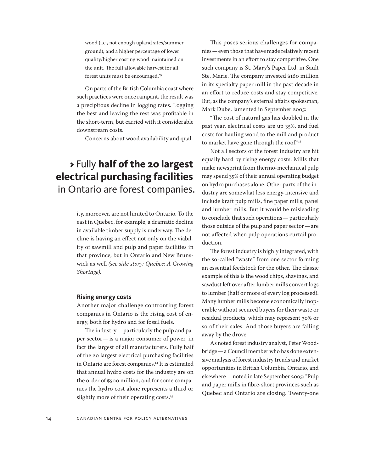wood (i.e., not enough upland sites/summer ground), and a higher percentage of lower quality/higher costing wood maintained on the unit. The full allowable harvest for all forest units must be encouraged."9

On parts of the British Columbia coast where such practices were once rampant, the result was a precipitous decline in logging rates. Logging the best and leaving the rest was profitable in the short-term, but carried with it considerable downstream costs.

Concerns about wood availability and qual-

## > Fully **half of the 20 largest electrical purchasing facilities** in Ontario are forest companies.

ity, moreover, are not limited to Ontario. To the east in Quebec, for example, a dramatic decline in available timber supply is underway. The decline is having an effect not only on the viability of sawmill and pulp and paper facilities in that province, but in Ontario and New Brunswick as well *(see side story: Quebec: A Growing Shortage)*.

#### **Rising energy costs**

Another major challenge confronting forest companies in Ontario is the rising cost of energy, both for hydro and for fossil fuels.

The industry—particularly the pulp and paper sector—is a major consumer of power, in fact the largest of all manufacturers. Fully half of the 20 largest electrical purchasing facilities in Ontario are forest companies.<sup>14</sup> It is estimated that annual hydro costs for the industry are on the order of \$500 million, and for some companies the hydro cost alone represents a third or slightly more of their operating costs.<sup>15</sup>

This poses serious challenges for companies—even those that have made relatively recent investments in an effort to stay competitive. One such company is St. Mary's Paper Ltd. in Sault Ste. Marie. The company invested \$160 million in its specialty paper mill in the past decade in an effort to reduce costs and stay competitive. But, as the company's external affairs spokesman, Mark Dube, lamented in September 2005:

"The cost of natural gas has doubled in the past year, electrical costs are up 35%, and fuel costs for hauling wood to the mill and product to market have gone through the roof."<sup>16</sup>

Not all sectors of the forest industry are hit equally hard by rising energy costs. Mills that make newsprint from thermo-mechanical pulp may spend 35% of their annual operating budget on hydro purchases alone. Other parts of the industry are somewhat less energy-intensive and include kraft pulp mills, fine paper mills, panel and lumber mills. But it would be misleading to conclude that such operations—particularly those outside of the pulp and paper sector—are not affected when pulp operations curtail production.

The forest industry is highly integrated, with the so-called "waste" from one sector forming an essential feedstock for the other. The classic example of this is the wood chips, shavings, and sawdust left over after lumber mills convert logs to lumber (half or more of every log processed). Many lumber mills become economically inoperable without secured buyers for their waste or residual products, which may represent 30% or so of their sales. And those buyers are falling away by the drove.

As noted forest industry analyst, Peter Woodbridge—a Council member who has done extensive analysis of forest industry trends and market opportunities in British Columbia, Ontario, and elsewhere—noted in late September 2005: "Pulp and paper mills in fibre-short provinces such as Quebec and Ontario are closing. Twenty-one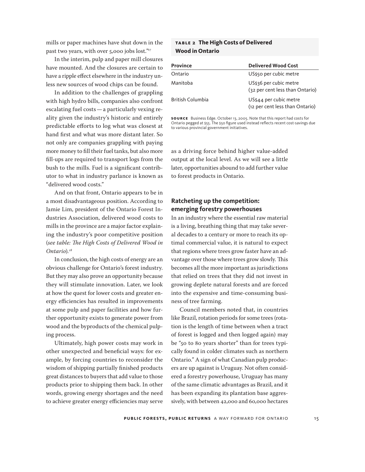mills or paper machines have shut down in the past two years, with over 5,000 jobs lost."<sup>17</sup>

In the interim, pulp and paper mill closures have mounted. And the closures are certain to have a ripple effect elsewhere in the industry unless new sources of wood chips can be found.

In addition to the challenges of grappling with high hydro bills, companies also confront escalating fuel costs—a particularly vexing reality given the industry's historic and entirely predictable efforts to log what was closest at hand first and what was more distant later. So not only are companies grappling with paying more money to fill their fuel tanks, but also more fill-ups are required to transport logs from the bush to the mills. Fuel is a significant contributor to what in industry parlance is known as "delivered wood costs."

And on that front, Ontario appears to be in a most disadvantageous position. According to Jamie Lim, president of the Ontario Forest Industries Association, delivered wood costs to mills in the province are a major factor explaining the industry's poor competitive position (*see table: The High Costs of Delivered Wood in Ontario*)*. 18*

In conclusion, the high costs of energy are an obvious challenge for Ontario's forest industry. But they may also prove an opportunity because they will stimulate innovation. Later, we look at how the quest for lower costs and greater energy efficiencies has resulted in improvements at some pulp and paper facilities and how further opportunity exists to generate power from wood and the byproducts of the chemical pulping process.

Ultimately, high power costs may work in other unexpected and beneficial ways: for example, by forcing countries to reconsider the wisdom of shipping partially finished products great distances to buyers that add value to those products prior to shipping them back. In other words, growing energy shortages and the need to achieve greater energy efficiencies may serve

### **table 2 The High Costs of Delivered Wood in Ontario**

| <b>Province</b>  | <b>Delivered Wood Cost</b>                                |
|------------------|-----------------------------------------------------------|
| Ontario          | US\$50 per cubic metre                                    |
| Manitoba         | US\$36 per cubic metre<br>(32 per cent less than Ontario) |
| British Columbia | US\$44 per cubic metre<br>(12 per cent less than Ontario) |

**so u rce** Business Edge. October 13, 2005. Note that this report had costs for Ontario pegged at \$55. The \$50 figure used instead reflects recent cost-savings due to various provincial government initiatives.

as a driving force behind higher value-added output at the local level. As we will see a little later, opportunities abound to add further value to forest products in Ontario.

### **Ratcheting up the competition: emerging forestry powerhouses**

In an industry where the essential raw material is a living, breathing thing that may take several decades to a century or more to reach its optimal commercial value, it is natural to expect that regions where trees grow faster have an advantage over those where trees grow slowly. This becomes all the more important as jurisdictions that relied on trees that they did not invest in growing deplete natural forests and are forced into the expensive and time-consuming business of tree farming.

Council members noted that, in countries like Brazil, rotation periods for some trees (rotation is the length of time between when a tract of forest is logged and then logged again) may be "50 to 80 years shorter" than for trees typically found in colder climates such as northern Ontario." A sign of what Canadian pulp producers are up against is Uruguay. Not often considered a forestry powerhouse, Uruguay has many of the same climatic advantages as Brazil, and it has been expanding its plantation base aggressively, with between 42,000 and 60,000 hectares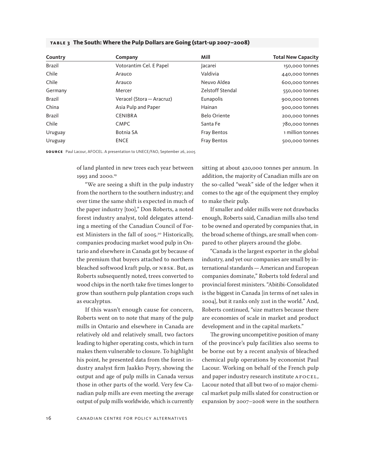| Country       | Company                   | Mill                    | <b>Total New Capacity</b> |
|---------------|---------------------------|-------------------------|---------------------------|
| <b>Brazil</b> | Votorantim Cel. E Papel   | lacarei                 | 150,000 tonnes            |
| Chile         | Arauco                    | Valdivia                | 440,000 tonnes            |
| Chile         | Arauco                    | Neuvo Aldea             | 600,000 tonnes            |
| Germany       | Mercer                    | <b>Zelstoff Stendal</b> | 550,000 tonnes            |
| <b>Brazil</b> | Veracel (Stora - Aracruz) | Eunapolis               | 900,000 tonnes            |
| China         | Asia Pulp and Paper       | Hainan                  | 900,000 tonnes            |
| <b>Brazil</b> | <b>CENIBRA</b>            | <b>Belo Oriente</b>     | 200,000 tonnes            |
| Chile         | <b>CMPC</b>               | Santa Fe                | 780,000 tonnes            |
| Uruguay       | Botnia SA                 | <b>Fray Bentos</b>      | 1 million tonnes          |
| Uruguay       | <b>ENCE</b>               | <b>Fray Bentos</b>      | 500,000 tonnes            |

### **table 3 The South: Where the Pulp Dollars are Going (start-up 2007–2008)**

**so u rce** Paul Lacour, AFOCEL. A presentation to UNECE/FAO, September 26, 2005

of land planted in new trees each year between 1993 and 2000.<sup>19</sup>

"We are seeing a shift in the pulp industry from the northern to the southern industry; and over time the same shift is expected in much of the paper industry [too]," Don Roberts, a noted forest industry analyst, told delegates attending a meeting of the Canadian Council of Forest Ministers in the fall of 2005.<sup>20</sup> Historically, companies producing market wood pulp in Ontario and elsewhere in Canada got by because of the premium that buyers attached to northern bleached softwood kraft pulp, or NBSK. But, as Roberts subsequently noted, trees converted to wood chips in the north take five times longer to grow than southern pulp plantation crops such as eucalyptus.

If this wasn't enough cause for concern, Roberts went on to note that many of the pulp mills in Ontario and elsewhere in Canada are relatively old and relatively small, two factors leading to higher operating costs, which in turn makes them vulnerable to closure. To highlight his point, he presented data from the forest industry analyst firm Jaakko Poyry, showing the output and age of pulp mills in Canada versus those in other parts of the world. Very few Canadian pulp mills are even meeting the average output of pulp mills worldwide, which is currently sitting at about 420,000 tonnes per annum. In addition, the majority of Canadian mills are on the so-called "weak" side of the ledger when it comes to the age of the equipment they employ to make their pulp.

If smaller and older mills were not drawbacks enough, Roberts said, Canadian mills also tend to be owned and operated by companies that, in the broad scheme of things, are small when compared to other players around the globe.

"Canada is the largest exporter in the global industry, and yet our companies are small by international standards—American and European companies dominate," Roberts told federal and provincial forest ministers. "Abitibi-Consolidated is the biggest in Canada [in terms of net sales in 2004], but it ranks only 21st in the world." And, Roberts continued, "size matters because there are economies of scale in market and product development and in the capital markets."

The growing uncompetitive position of many of the province's pulp facilities also seems to be borne out by a recent analysis of bleached chemical pulp operations by economist Paul Lacour. Working on behalf of the French pulp and paper industry research institute AFOCEL, Lacour noted that all but two of 10 major chemical market pulp mills slated for construction or expansion by 2007–2008 were in the southern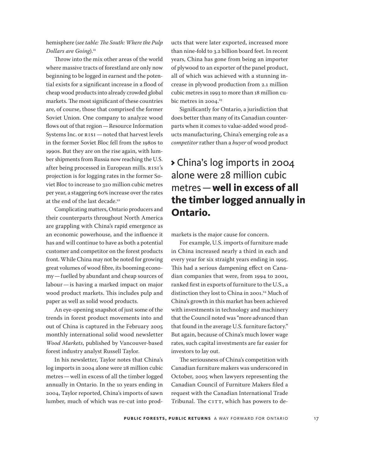### hemisphere (*see table: The South: Where the Pulp Dollars are Going*).21

Throw into the mix other areas of the world where massive tracts of forestland are only now beginning to be logged in earnest and the potential exists for a significant increase in a flood of cheap wood products into already crowded global markets. The most significant of these countries are, of course, those that comprised the former Soviet Union. One company to analyze wood flows out of that region—Resource Information Systems Inc. or RISI —noted that harvest levels in the former Soviet Bloc fell from the 1980s to 1990s. But they are on the rise again, with lumber shipments from Russia now reaching the U.S. after being processed in European mills. RISI's projection is for logging rates in the former Soviet Bloc to increase to 320 million cubic metres per year, a staggering 60% increase over the rates at the end of the last decade.<sup>22</sup>

Complicating matters, Ontario producers and their counterparts throughout North America are grappling with China's rapid emergence as an economic powerhouse, and the influence it has and will continue to have as both a potential customer and competitor on the forest products front. While China may not be noted for growing great volumes of wood fibre, its booming economy—fuelled by abundant and cheap sources of labour—is having a marked impact on major wood product markets. This includes pulp and paper as well as solid wood products.

An eye-opening snapshot of just some of the trends in forest product movements into and out of China is captured in the February 2005 monthly international solid wood newsletter *Wood Markets*, published by Vancouver-based forest industry analyst Russell Taylor.

In his newsletter, Taylor notes that China's log imports in 2004 alone were 28 million cubic metres—well in excess of all the timber logged annually in Ontario. In the 10 years ending in 2004, Taylor reported, China's imports of sawn lumber, much of which was re-cut into products that were later exported, increased more than nine-fold to 3.2 billion board feet. In recent years, China has gone from being an importer of plywood to an exporter of the panel product, all of which was achieved with a stunning increase in plywood production from 2.1 million cubic metres in 1993 to more than 18 million cubic metres in  $2004.<sup>23</sup>$ 

Significantly for Ontario, a jurisdiction that does better than many of its Canadian counterparts when it comes to value-added wood products manufacturing, China's emerging role as a *competitor* rather than a *buyer* of wood product

## > China's log imports in 2004 alone were 28 million cubic metres—**well in excess of all the timber logged annually in Ontario.**

markets is the major cause for concern.

For example, U.S. imports of furniture made in China increased nearly a third in each and every year for six straight years ending in 1995. This had a serious dampening effect on Canadian companies that were, from 1994 to 2001, ranked first in exports of furniture to the U.S., a distinction they lost to China in 2001.<sup>24</sup> Much of China's growth in this market has been achieved with investments in technology and machinery that the Council noted was "more advanced than that found in the average U.S. furniture factory." But again, because of China's much lower wage rates, such capital investments are far easier for investors to lay out.

The seriousness of China's competition with Canadian furniture makers was underscored in October, 2005 when lawyers representing the Canadian Council of Furniture Makers filed a request with the Canadian International Trade Tribunal. The CITT, which has powers to de-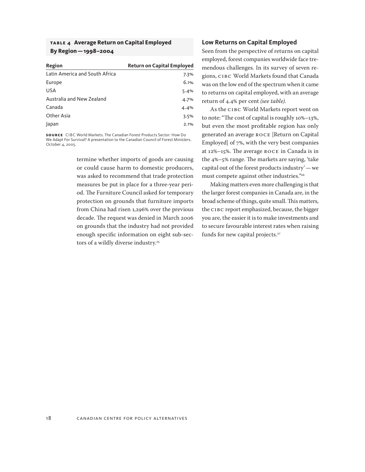### **table 4 Average Return on Capital Employed By Region—1998–2004**

| Region                         | <b>Return on Capital Employed</b> |
|--------------------------------|-----------------------------------|
| Latin America and South Africa | 7.3%                              |
| Europe                         | 6.1%                              |
| <b>USA</b>                     | 5.4%                              |
| Australia and New Zealand      | 4.7%                              |
| Canada                         | 4.4%                              |
| Other Asia                     | 3.5%                              |
| Japan                          | 2.1%                              |

**so u rce** CIBC World Markets. The Canadian Forest Products Sector: How Do We Adapt For Survival? A presentation to the Canadian Council of Forest Ministers. October 4, 2005.

> termine whether imports of goods are causing or could cause harm to domestic producers, was asked to recommend that trade protection measures be put in place for a three-year period. The Furniture Council asked for temporary protection on grounds that furniture imports from China had risen 1,296% over the previous decade. The request was denied in March 2006 on grounds that the industry had not provided enough specific information on eight sub-sectors of a wildly diverse industry.<sup>25</sup>

### **Low Returns on Capital Employed**

Seen from the perspective of returns on capital employed, forest companies worldwide face tremendous challenges. In its survey of seven regions, CIBC World Markets found that Canada was on the low end of the spectrum when it came to returns on capital employed, with an average return of 4.4% per cent *(see table).*

As the CIBC World Markets report went on to note: "The cost of capital is roughly 10%–13%, but even the most profitable region has only generated an average ROCE [Return on Capital Employed] of 7%, with the very best companies at 12%–15%. The average ROCE in Canada is in the 4%–5% range. The markets are saying, 'take capital out of the forest products industry'—we must compete against other industries."26

Making matters even more challenging is that the larger forest companies in Canada are, in the broad scheme of things, quite small. This matters, the CIBC report emphasized, because, the bigger you are, the easier it is to make investments and to secure favourable interest rates when raising funds for new capital projects.<sup>27</sup>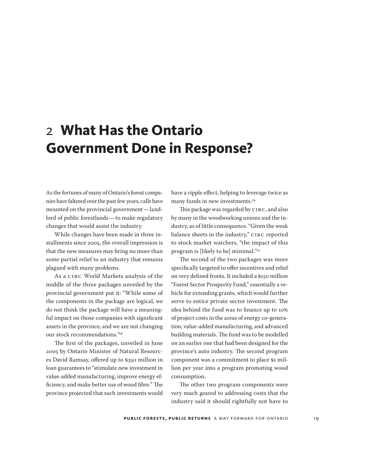# <span id="page-18-0"></span>2 **What Has the Ontario Government Done in Response?**

As the fortunes of many of Ontario's forest companies have faltered over the past few years, calls have mounted on the provincial government—landlord of public forestlands—to make regulatory changes that would assist the industry.

While changes have been made in three installments since 2005, the overall impression is that the new measures may bring no more than some partial relief to an industry that remains plagued with many problems.

As a CIBC World Markets analysis of the middle of the three packages unveiled by the provincial government put it: "While some of the components in the package are logical, we do not think the package will have a meaningful impact on those companies with significant assets in the province, and we are not changing our stock recommendations."28

The first of the packages, unveiled in June 2005 by Ontario Minister of Natural Resources David Ramsay, offered up to \$350 million in loan guarantees to "stimulate new investment in value-added manufacturing, improve energy efficiency, and make better use of wood fibre." The province projected that such investments would have a ripple effect, helping to leverage twice as many funds in new investments.<sup>29</sup>

This package was regarded by CIBC, and also by many in the woodworking unions and the industry, as of little consequence. "Given the weak balance sheets in the industry," CIBC reported to stock market watchers, "the impact of this program is [likely to be] minimal."30

The second of the two packages was more specifically targeted to offer incentives and relief on very defined fronts. It included a \$150 million "Forest Sector Prosperity Fund," essentially a vehicle for extending grants, which would further serve to entice private sector investment. The idea behind the fund was to finance up to 10% of project costs in the areas of energy co-generation, value-added manufacturing, and advanced building materials. The fund was to be modelled on an earlier one that had been designed for the province's auto industry. The second program component was a commitment to place \$1 million per year into a program promoting wood consumption.

The other two program components were very much geared to addressing costs that the industry said it should rightfully not have to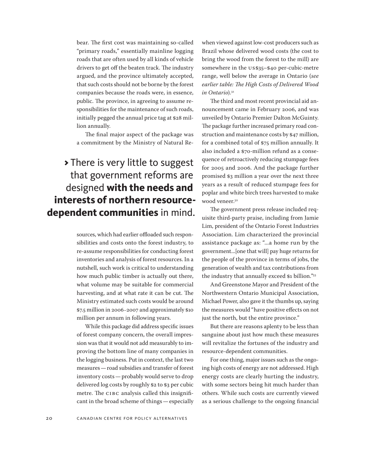bear. The first cost was maintaining so-called "primary roads," essentially mainline logging roads that are often used by all kinds of vehicle drivers to get off the beaten track. The industry argued, and the province ultimately accepted, that such costs should not be borne by the forest companies because the roads were, in essence, public. The province, in agreeing to assume responsibilities for the maintenance of such roads, initially pegged the annual price tag at \$28 million annually.

The final major aspect of the package was a commitment by the Ministry of Natural Re-

## > There is very little to suggest that government reforms are designed **with the needs and interests of northern resourcedependent communities** in mind.

sources, which had earlier offloaded such responsibilities and costs onto the forest industry, to re-assume responsibilities for conducting forest inventories and analysis of forest resources. In a nutshell, such work is critical to understanding how much public timber is actually out there, what volume may be suitable for commercial harvesting, and at what rate it can be cut. The Ministry estimated such costs would be around \$7.5 million in 2006–2007 and approximately \$10 million per annum in following years.

While this package did address specific issues of forest company concern, the overall impression was that it would not add measurably to improving the bottom line of many companies in the logging business. Put in context, the last two measures—road subsidies and transfer of forest inventory costs—probably would serve to drop delivered log costs by roughly \$2 to \$3 per cubic metre. The CIBC analysis called this insignificant in the broad scheme of things—especially when viewed against low-cost producers such as Brazil whose delivered wood costs (the cost to bring the wood from the forest to the mill) are somewhere in the US\$35–\$40 per-cubic-metre range, well below the average in Ontario (*see earlier table: The High Costs of Delivered Wood in Ontario*)*.* 31

The third and most recent provincial aid announcement came in February 2006, and was unveiled by Ontario Premier Dalton McGuinty. The package further increased primary road construction and maintenance costs by \$47 million, for a combined total of \$75 million annually. It also included a \$70-million refund as a consequence of retroactively reducing stumpage fees for 2005 and 2006. And the package further promised \$3 million a year over the next three years as a result of reduced stumpage fees for poplar and white birch trees harvested to make wood veneer.<sup>32</sup>

The government press release included requisite third-party praise, including from Jamie Lim, president of the Ontario Forest Industries Association. Lim characterized the provincial assistance package as: "...a home run by the government...[one that will] pay huge returns for the people of the province in terms of jobs, the generation of wealth and tax contributions from the industry that annually exceed \$1 billion."33

And Greenstone Mayor and President of the Northwestern Ontario Municipal Association, Michael Power, also gave it the thumbs up, saying the measures would "have positive effects on not just the north, but the entire province."

But there are reasons aplenty to be less than sanguine about just how much these measures will revitalize the fortunes of the industry and resource-dependent communities.

For one thing, major issues such as the ongoing high costs of energy are not addressed. High energy costs are clearly hurting the industry, with some sectors being hit much harder than others. While such costs are currently viewed as a serious challenge to the ongoing financial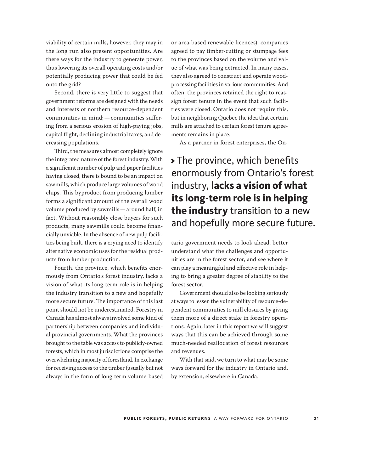viability of certain mills, however, they may in the long run also present opportunities. Are there ways for the industry to generate power, thus lowering its overall operating costs and/or potentially producing power that could be fed onto the grid?

Second, there is very little to suggest that government reforms are designed with the needs and interests of northern resource-dependent communities in mind;—communities suffering from a serious erosion of high-paying jobs, capital flight, declining industrial taxes, and decreasing populations.

Third, the measures almost completely ignore the integrated nature of the forest industry. With a significant number of pulp and paper facilities having closed, there is bound to be an impact on sawmills, which produce large volumes of wood chips. This byproduct from producing lumber forms a significant amount of the overall wood volume produced by sawmills—around half, in fact. Without reasonably close buyers for such products, many sawmills could become financially unviable. In the absence of new pulp facilities being built, there is a crying need to identify alternative economic uses for the residual products from lumber production.

Fourth, the province, which benefits enormously from Ontario's forest industry, lacks a vision of what its long-term role is in helping the industry transition to a new and hopefully more secure future. The importance of this last point should not be underestimated. Forestry in Canada has almost always involved some kind of partnership between companies and individual provincial governments. What the provinces brought to the table was access to publicly-owned forests, which in most jurisdictions comprise the overwhelming majority of forestland. In exchange for receiving access to the timber (usually but not always in the form of long-term volume-based

or area-based renewable licences), companies agreed to pay timber-cutting or stumpage fees to the provinces based on the volume and value of what was being extracted. In many cases, they also agreed to construct and operate woodprocessing facilities in various communities. And often, the provinces retained the right to reassign forest tenure in the event that such facilities were closed. Ontario does not require this, but in neighboring Quebec the idea that certain mills are attached to certain forest tenure agreements remains in place.

As a partner in forest enterprises, the On-

## > The province, which benefits enormously from Ontario's forest industry, **lacks a vision of what its long-term role is in helping the industry** transition to a new and hopefully more secure future.

tario government needs to look ahead, better understand what the challenges and opportunities are in the forest sector, and see where it can play a meaningful and effective role in helping to bring a greater degree of stability to the forest sector.

Government should also be looking seriously at ways to lessen the vulnerability of resource-dependent communities to mill closures by giving them more of a direct stake in forestry operations. Again, later in this report we will suggest ways that this can be achieved through some much-needed reallocation of forest resources and revenues.

With that said, we turn to what may be some ways forward for the industry in Ontario and, by extension, elsewhere in Canada.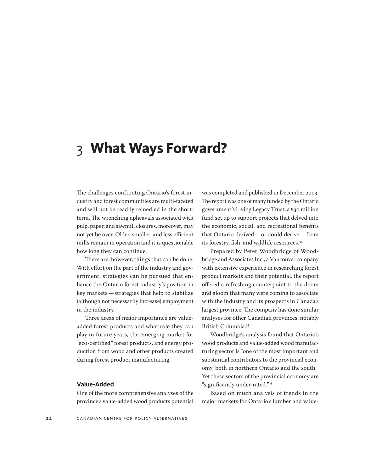# <span id="page-21-0"></span>3 **What Ways Forward?**

The challenges confronting Ontario's forest industry and forest communities are multi-faceted and will not be readily remedied in the shortterm. The wrenching upheavals associated with pulp, paper, and sawmill closures, moreover, may not yet be over. Older, smaller, and less efficient mills remain in operation and it is questionable how long they can continue.

There are, however, things that can be done. With effort on the part of the industry and government, strategies can be pursued that enhance the Ontario forest industry's position in key markets—strategies that help to stabilize (although not necessarily increase) employment in the industry.

Three areas of major importance are valueadded forest products and what role they can play in future years, the emerging market for "eco-certified" forest products, and energy production from wood and other products created during forest product manufacturing.

### **Value-Added**

One of the more comprehensive analyses of the province's value-added wood products potential

was completed and published in December 2003. The report was one of many funded by the Ontario government's Living Legacy Trust, a \$30 million fund set up to support projects that delved into the economic, social, and recreational benefits that Ontario derived—or could derive—from its forestry, fish, and wildlife resources.34

Prepared by Peter Woodbridge of Woodbridge and Associates Inc., a Vancouver company with extensive experience in researching forest product markets and their potential, the report offered a refreshing counterpoint to the doom and gloom that many were coming to associate with the industry and its prospects in Canada's largest province. The company has done similar analyses for other Canadian provinces, notably British Columbia.35

Woodbridge's analysis found that Ontario's wood products and value-added wood manufacturing sector is "one of the most important and substantial contributors to the provincial economy, both in northern Ontario and the south." Yet these sectors of the provincial economy are "significantly under-rated."36

Based on much analysis of trends in the major markets for Ontario's lumber and value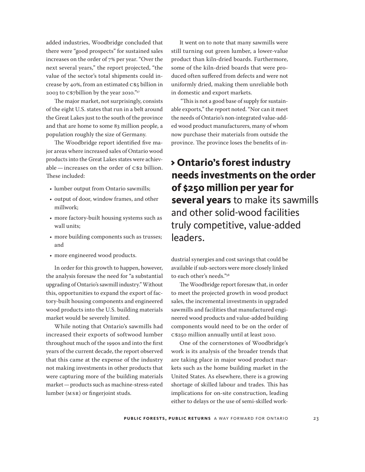added industries, Woodbridge concluded that there were "good prospects" for sustained sales increases on the order of 7% per year. "Over the next several years," the report projected, "the value of the sector's total shipments could increase by 40%, from an estimated C\$5 billion in 2003 to C\$7billion by the year 2010."37

The major market, not surprisingly, consists of the eight U.S. states that run in a belt around the Great Lakes just to the south of the province and that are home to some 83 million people, a population roughly the size of Germany.

The Woodbridge report identified five major areas where increased sales of Ontario wood products into the Great Lakes states were achievable—increases on the order of C\$2 billion. These included:

- lumber output from Ontario sawmills;
- output of door, window frames, and other millwork;
- more factory-built housing systems such as wall units;
- more building components such as trusses; and
- more engineered wood products.

In order for this growth to happen, however, the analysis foresaw the need for "a substantial upgrading of Ontario's sawmill industry." Without this, opportunities to expand the export of factory-built housing components and engineered wood products into the U.S. building materials market would be severely limited.

While noting that Ontario's sawmills had increased their exports of softwood lumber throughout much of the 1990s and into the first years of the current decade, the report observed that this came at the expense of the industry not making investments in other products that were capturing more of the building materials market—products such as machine-stress-rated lumber (MSR) or fingerjoint studs.

It went on to note that many sawmills were still turning out green lumber, a lower-value product than kiln-dried boards. Furthermore, some of the kiln-dried boards that were produced often suffered from defects and were not uniformly dried, making them unreliable both in domestic and export markets.

 "This is not a good base of supply for sustainable exports," the report noted. "Nor can it meet the needs of Ontario's non-integrated value-added wood product manufacturers, many of whom now purchase their materials from outside the province. The province loses the benefits of in-

## > **Ontario's forest industry needs investments on the order of \$250 million per year for several years** to make its sawmills and other solid-wood facilities truly competitive, value-added leaders.

dustrial synergies and cost savings that could be available if sub-sectors were more closely linked to each other's needs."38

The Woodbridge report foresaw that, in order to meet the projected growth in wood product sales, the incremental investments in upgraded sawmills and facilities that manufactured engineered wood products and value-added building components would need to be on the order of C\$250 million annually until at least 2010.

One of the cornerstones of Woodbridge's work is its analysis of the broader trends that are taking place in major wood product markets such as the home building market in the United States. As elsewhere, there is a growing shortage of skilled labour and trades. This has implications for on-site construction, leading either to delays or the use of semi-skilled work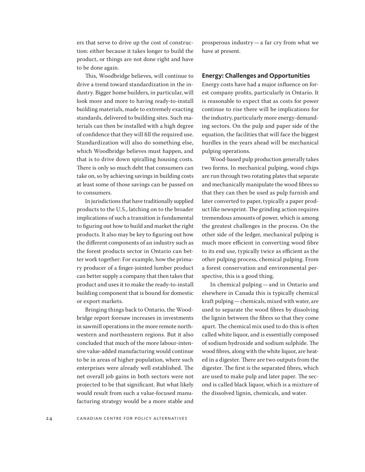ers that serve to drive up the cost of construction: either because it takes longer to build the product, or things are not done right and have to be done again.

This, Woodbridge believes, will continue to drive a trend toward standardization in the industry. Bigger home builders, in particular, will look more and more to having ready-to-install building materials, made to extremely exacting standards, delivered to building sites. Such materials can then be installed with a high degree of confidence that they will fill the required use. Standardization will also do something else, which Woodbridge believes must happen, and that is to drive down spiralling housing costs. There is only so much debt that consumers can take on, so by achieving savings in building costs at least some of those savings can be passed on to consumers.

In jurisdictions that have traditionally supplied products to the U.S., latching on to the broader implications of such a transition is fundamental to figuring out how to build and market the right products. It also may be key to figuring out how the different components of an industry such as the forest products sector in Ontario can better work together: For example, how the primary producer of a finger-jointed lumber product can better supply a company that then takes that product and uses it to make the ready-to-install building component that is bound for domestic or export markets.

Bringing things back to Ontario, the Woodbridge report foresaw increases in investments in sawmill operations in the more remote northwestern and northeastern regions. But it also concluded that much of the more labour-intensive value-added manufacturing would continue to be in areas of higher population, where such enterprises were already well established. The net overall job gains in both sectors were not projected to be that significant. But what likely would result from such a value-focused manufacturing strategy would be a more stable and prosperous industry—a far cry from what we have at present.

### **Energy: Challenges and Opportunities**

Energy costs have had a major influence on forest company profits, particularly in Ontario. It is reasonable to expect that as costs for power continue to rise there will be implications for the industry, particularly more energy-demanding sectors. On the pulp and paper side of the equation, the facilities that will face the biggest hurdles in the years ahead will be mechanical pulping operations.

Wood-based pulp production generally takes two forms. In mechanical pulping, wood chips are run through two rotating plates that separate and mechanically manipulate the wood fibres so that they can then be used as pulp furnish and later converted to paper, typically a paper product like newsprint. The grinding action requires tremendous amounts of power, which is among the greatest challenges in the process. On the other side of the ledger, mechanical pulping is much more efficient in converting wood fibre to its end use, typically twice as efficient as the other pulping process, chemical pulping. From a forest conservation and environmental perspective, this is a good thing.

In chemical pulping—and in Ontario and elsewhere in Canada this is typically chemical kraft pulping—chemicals, mixed with water, are used to separate the wood fibres by dissolving the lignin between the fibres so that they come apart. The chemical mix used to do this is often called white liquor, and is essentially composed of sodium hydroxide and sodium sulphide. The wood fibres, along with the white liquor, are heated in a digester. There are two outputs from the digester. The first is the separated fibres, which are used to make pulp and later paper. The second is called black liquor, which is a mixture of the dissolved lignin, chemicals, and water.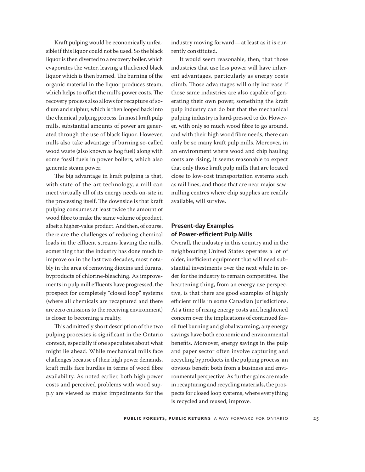Kraft pulping would be economically unfeasible if this liquor could not be used. So the black liquor is then diverted to a recovery boiler, which evaporates the water, leaving a thickened black liquor which is then burned. The burning of the organic material in the liquor produces steam, which helps to offset the mill's power costs. The recovery process also allows for recapture of sodium and sulphur, which is then looped back into the chemical pulping process. In most kraft pulp mills, substantial amounts of power are generated through the use of black liquor. However, mills also take advantage of burning so-called wood waste (also known as hog fuel) along with some fossil fuels in power boilers, which also generate steam power.

The big advantage in kraft pulping is that, with state-of-the-art technology, a mill can meet virtually all of its energy needs on-site in the processing itself. The downside is that kraft pulping consumes at least twice the amount of wood fibre to make the same volume of product, albeit a higher-value product. And then, of course, there are the challenges of reducing chemical loads in the effluent streams leaving the mills, something that the industry has done much to improve on in the last two decades, most notably in the area of removing dioxins and furans, byproducts of chlorine-bleaching. As improvements in pulp mill effluents have progressed, the prospect for completely "closed loop" systems (where all chemicals are recaptured and there are zero emissions to the receiving environment) is closer to becoming a reality.

This admittedly short description of the two pulping processes is significant in the Ontario context, especially if one speculates about what might lie ahead. While mechanical mills face challenges because of their high power demands, kraft mills face hurdles in terms of wood fibre availability. As noted earlier, both high power costs and perceived problems with wood supply are viewed as major impediments for the

industry moving forward—at least as it is currently constituted.

It would seem reasonable, then, that those industries that use less power will have inherent advantages, particularly as energy costs climb. Those advantages will only increase if those same industries are also capable of generating their own power, something the kraft pulp industry can do but that the mechanical pulping industry is hard-pressed to do. However, with only so much wood fibre to go around, and with their high wood fibre needs, there can only be so many kraft pulp mills. Moreover, in an environment where wood and chip hauling costs are rising, it seems reasonable to expect that only those kraft pulp mills that are located close to low-cost transportation systems such as rail lines, and those that are near major sawmilling centres where chip supplies are readily available, will survive.

### **Present-day Examples of Power-efficient Pulp Mills**

Overall, the industry in this country and in the neighbouring United States operates a lot of older, inefficient equipment that will need substantial investments over the next while in order for the industry to remain competitive. The heartening thing, from an energy use perspective, is that there are good examples of highly efficient mills in some Canadian jurisdictions. At a time of rising energy costs and heightened concern over the implications of continued fossil fuel burning and global warming, any energy savings have both economic and environmental benefits. Moreover, energy savings in the pulp and paper sector often involve capturing and recycling byproducts in the pulping process, an obvious benefit both from a business and environmental perspective. As further gains are made in recapturing and recycling materials, the prospects for closed loop systems, where everything is recycled and reused, improve.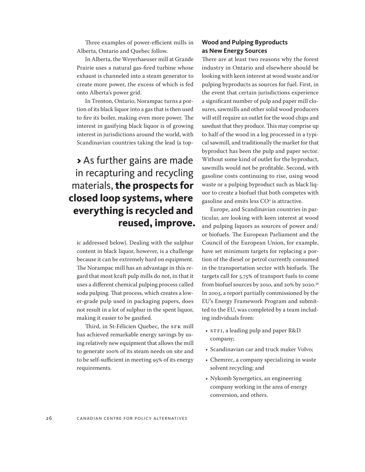Three examples of power-efficient mills in Alberta, Ontario and Quebec follow.

In Alberta, the Weyerhaeuser mill at Grande Prairie uses a natural gas-fired turbine whose exhaust is channeled into a steam generator to create more power, the excess of which is fed onto Alberta's power grid.

In Trenton, Ontario, Norampac turns a portion of its black liquor into a gas that is then used to fire its boiler, making even more power. The interest in gasifying black liquor is of growing interest in jurisdictions around the world, with Scandinavian countries taking the lead (a top-

## > As further gains are made in recapturing and recycling materials, **the prospects for closed loop systems, where everything is recycled and reused, improve.**

ic addressed below). Dealing with the sulphur content in black liquor, however, is a challenge because it can be extremely hard on equipment. The Norampac mill has an advantage in this regard that most kraft pulp mills do not, in that it uses a different chemical pulping process called soda pulping. That process, which creates a lower-grade pulp used in packaging papers, does not result in a lot of sulphur in the spent liquor, making it easier to be gasified.

Third, in St-Félicien Quebec, the SFK mill has achieved remarkable energy savings by using relatively new equipment that allows the mill to generate 100% of its steam needs on site and to be self-sufficient in meeting 95% of its energy requirements.

### **Wood and Pulping Byproducts as New Energy Sources**

There are at least two reasons why the forest industry in Ontario and elsewhere should be looking with keen interest at wood waste and/or pulping byproducts as sources for fuel. First, in the event that certain jurisdictions experience a significant number of pulp and paper mill closures, sawmills and other solid wood producers will still require an outlet for the wood chips and sawdust that they produce. This may comprise up to half of the wood in a log processed in a typical sawmill, and traditionally the market for that byproduct has been the pulp and paper sector. Without some kind of outlet for the byproduct, sawmills would not be profitable. Second, with gasoline costs continuing to rise, using wood waste or a pulping byproduct such as black liquor to create a biofuel that both competes with gasoline and emits less  $\rm CO^{\texttt{2}}$  is attractive.

Europe, and Scandinavian countries in particular, are looking with keen interest at wood and pulping liquors as sources of power and/ or biofuels. The European Parliament and the Council of the European Union, for example, have set minimum targets for replacing a portion of the diesel or petrol currently consumed in the transportation sector with biofuels. The targets call for 5.75% of transport fuels to come from biofuel sources by 2010, and 20% by 2020.39 In 2003, a report partially commissioned by the EU's Energy Framework Program and submitted to the EU, was completed by a team including individuals from:

- STFI, a leading pulp and paper R&D company;
- Scandinavian car and truck maker Volvo;
- Chemrec, a company specializing in waste solvent recycling; and
- Nykomb Synergetics, an engineering company working in the area of energy conversion, and others.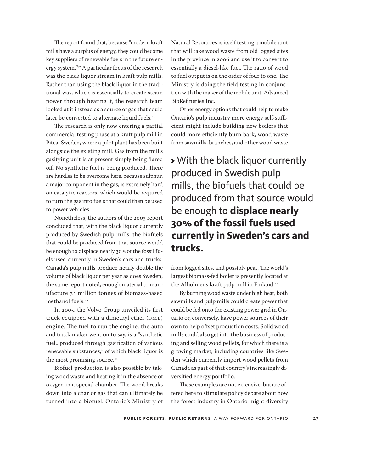The report found that, because "modern kraft mills have a surplus of energy, they could become key suppliers of renewable fuels in the future energy system."40 A particular focus of the research was the black liquor stream in kraft pulp mills. Rather than using the black liquor in the traditional way, which is essentially to create steam power through heating it, the research team looked at it instead as a source of gas that could later be converted to alternate liquid fuels.<sup>41</sup>

The research is only now entering a partial commercial testing phase at a kraft pulp mill in Pitea, Sweden, where a pilot plant has been built alongside the existing mill. Gas from the mill's gasifying unit is at present simply being flared off. No synthetic fuel is being produced. There are hurdles to be overcome here, because sulphur, a major component in the gas, is extremely hard on catalytic reactors, which would be required to turn the gas into fuels that could then be used to power vehicles.

Nonetheless, the authors of the 2003 report concluded that, with the black liquor currently produced by Swedish pulp mills, the biofuels that could be produced from that source would be enough to displace nearly 30% of the fossil fuels used currently in Sweden's cars and trucks. Canada's pulp mills produce nearly double the volume of black liquor per year as does Sweden, the same report noted, enough material to manufacture 7.1 million tonnes of biomass-based methanol fuels.<sup>42</sup>

In 2005, the Volvo Group unveiled its first truck equipped with a dimethyl ether (DME) engine. The fuel to run the engine, the auto and truck maker went on to say, is a "synthetic fuel...produced through gasification of various renewable substances," of which black liquor is the most promising source.<sup>43</sup>

Biofuel production is also possible by taking wood waste and heating it in the absence of oxygen in a special chamber. The wood breaks down into a char or gas that can ultimately be turned into a biofuel. Ontario's Ministry of

Natural Resources is itself testing a mobile unit that will take wood waste from old logged sites in the province in 2006 and use it to convert to essentially a diesel-like fuel. The ratio of wood to fuel output is on the order of four to one. The Ministry is doing the field-testing in conjunction with the maker of the mobile unit, Advanced BioRefineries Inc.

Other energy options that could help to make Ontario's pulp industry more energy self-sufficient might include building new boilers that could more efficiently burn bark, wood waste from sawmills, branches, and other wood waste

> With the black liquor currently produced in Swedish pulp mills, the biofuels that could be produced from that source would be enough to **displace nearly 30% of the fossil fuels used currently in Sweden's cars and trucks.**

from logged sites, and possibly peat. The world's largest biomass-fed boiler is presently located at the Alholmens kraft pulp mill in Finland.<sup>44</sup>

By burning wood waste under high heat, both sawmills and pulp mills could create power that could be fed onto the existing power grid in Ontario or, conversely, have power sources of their own to help offset production costs. Solid wood mills could also get into the business of producing and selling wood pellets, for which there is a growing market, including countries like Sweden which currently import wood pellets from Canada as part of that country's increasingly diversified energy portfolio.

These examples are not extensive, but are offered here to stimulate policy debate about how the forest industry in Ontario might diversify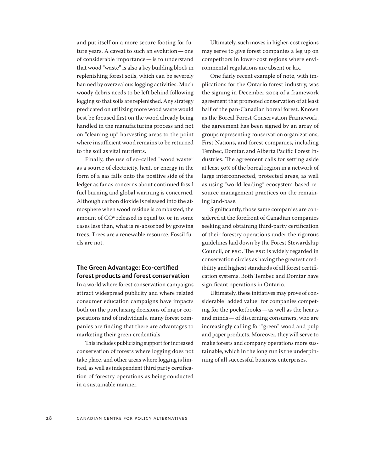and put itself on a more secure footing for future years. A caveat to such an evolution—one of considerable importance—is to understand that wood "waste" is also a key building block in replenishing forest soils, which can be severely harmed by overzealous logging activities. Much woody debris needs to be left behind following logging so that soils are replenished. Any strategy predicated on utilizing more wood waste would best be focused first on the wood already being handled in the manufacturing process and not on "cleaning up" harvesting areas to the point where insufficient wood remains to be returned to the soil as vital nutrients.

Finally, the use of so-called "wood waste" as a source of electricity, heat, or energy in the form of a gas falls onto the positive side of the ledger as far as concerns about continued fossil fuel burning and global warming is concerned. Although carbon dioxide is released into the atmosphere when wood residue is combusted, the amount of  $\rm CO^2$  released is equal to, or in some cases less than, what is re-absorbed by growing trees. Trees are a renewable resource. Fossil fuels are not.

### **The Green Advantage: Eco-certified forest products and forest conservation**

In a world where forest conservation campaigns attract widespread publicity and where related consumer education campaigns have impacts both on the purchasing decisions of major corporations and of individuals, many forest companies are finding that there are advantages to marketing their green credentials.

This includes publicizing support for increased conservation of forests where logging does not take place, and other areas where logging is limited, as well as independent third party certification of forestry operations as being conducted in a sustainable manner.

Ultimately, such moves in higher-cost regions may serve to give forest companies a leg up on competitors in lower-cost regions where environmental regulations are absent or lax.

One fairly recent example of note, with implications for the Ontario forest industry, was the signing in December 2003 of a framework agreement that promoted conservation of at least half of the pan-Canadian boreal forest. Known as the Boreal Forest Conservation Framework, the agreement has been signed by an array of groups representing conservation organizations, First Nations, and forest companies, including Tembec, Domtar, and Alberta Pacific Forest Industries. The agreement calls for setting aside at least 50% of the boreal region in a network of large interconnected, protected areas, as well as using "world-leading" ecosystem-based resource management practices on the remaining land-base.

Significantly, those same companies are considered at the forefront of Canadian companies seeking and obtaining third-party certification of their forestry operations under the rigorous guidelines laid down by the Forest Stewardship Council, or FSC. The FSC is widely regarded in conservation circles as having the greatest credibility and highest standards of all forest certification systems. Both Tembec and Domtar have significant operations in Ontario.

Ultimately, these initiatives may prove of considerable "added value" for companies competing for the pocketbooks—as well as the hearts and minds—of discerning consumers, who are increasingly calling for "green" wood and pulp and paper products. Moreover, they will serve to make forests and company operations more sustainable, which in the long run is the underpinning of all successful business enterprises.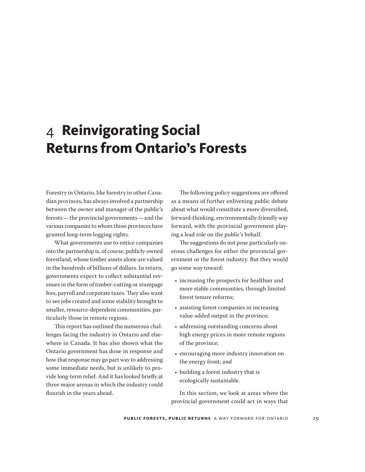# <span id="page-28-0"></span>4 **Reinvigorating Social Returns from Ontario's Forests**

Forestry in Ontario, like forestry in other Canadian provinces, has always involved a partnership between the owner and manager of the public's forests—the provincial governments—and the various companies to whom those provinces have granted long-term logging rights.

What governments use to entice companies into the partnership is, of course, publicly-owned forestland, whose timber assets alone are valued in the hundreds of billions of dollars. In return, governments expect to collect substantial revenues in the form of timber-cutting or stumpage fees, payroll and corporate taxes. They also want to see jobs created and some stability brought to smaller, resource-dependent communities, particularly those in remote regions.

This report has outlined the numerous challenges facing the industry in Ontario and elsewhere in Canada. It has also shown what the Ontario government has done in response and how that response may go part way to addressing some immediate needs, but is unlikely to provide long-term relief. And it has looked briefly at three major arenas in which the industry could flourish in the years ahead.

The following policy suggestions are offered as a means of further enlivening public debate about what would constitute a more diversified, forward-thinking, environmentally-friendly way forward, with the provincial government playing a lead role on the public's behalf.

The suggestions do not pose particularly onerous challenges for either the provincial government or the forest industry. But they would go some way toward:

- increasing the prospects for healthier and more stable communities, through limited forest tenure reforms;
- assisting forest companies in increasing value-added output in the province;
- addressing outstanding concerns about high energy prices in more remote regions of the province;
- encouraging more industry innovation on the energy front; and
- building a forest industry that is ecologically sustainable.

In this section, we look at areas where the provincial government could act in ways that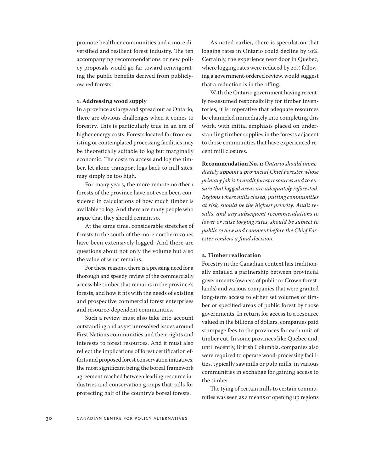promote healthier communities and a more diversified and resilient forest industry. The ten accompanying recommendations or new policy proposals would go far toward reinvigorating the public benefits derived from publiclyowned forests.

#### **1. Addressing wood supply**

In a province as large and spread out as Ontario, there are obvious challenges when it comes to forestry. This is particularly true in an era of higher energy costs. Forests located far from existing or contemplated processing facilities may be theoretically suitable to log but marginally economic. The costs to access and log the timber, let alone transport logs back to mill sites, may simply be too high.

For many years, the more remote northern forests of the province have not even been considered in calculations of how much timber is available to log. And there are many people who argue that they should remain so.

At the same time, considerable stretches of forests to the south of the more northern zones have been extensively logged. And there are questions about not only the volume but also the value of what remains.

For these reasons, there is a pressing need for a thorough and speedy review of the commercially accessible timber that remains in the province's forests, and how it fits with the needs of existing and prospective commercial forest enterprises and resource-dependent communities.

Such a review must also take into account outstanding and as yet unresolved issues around First Nations communities and their rights and interests to forest resources. And it must also reflect the implications of forest certification efforts and proposed forest conservation initiatives, the most significant being the boreal framework agreement reached between leading resource industries and conservation groups that calls for protecting half of the country's boreal forests.

As noted earlier, there is speculation that logging rates in Ontario could decline by 10%. Certainly, the experience next door in Quebec, where logging rates were reduced by 20% following a government-ordered review, would suggest that a reduction is in the offing.

With the Ontario government having recently re-assumed responsibility for timber inventories, it is imperative that adequate resources be channeled immediately into completing this work, with initial emphasis placed on understanding timber supplies in the forests adjacent to those communities that have experienced recent mill closures.

**Recommendation No. 1:** *Ontario should immediately appoint a provincial Chief Forester whose primary job is to audit forest resources and to ensure that logged areas are adequately reforested. Regions where mills closed, putting communities at risk, should be the highest priority. Audit results, and any subsequent recommendations to lower or raise logging rates, should be subject to public review and comment before the Chief Forester renders a final decision.*

### **2. Timber reallocation**

Forestry in the Canadian context has traditionally entailed a partnership between provincial governments (owners of public or Crown forestlands) and various companies that were granted long-term access to either set volumes of timber or specified areas of public forest by those governments. In return for access to a resource valued in the billions of dollars, companies paid stumpage fees to the provinces for each unit of timber cut. In some provinces like Quebec and, until recently, British Columbia, companies also were required to operate wood-processing facilities, typically sawmills or pulp mills, in various communities in exchange for gaining access to the timber.

The tying of certain mills to certain communities was seen as a means of opening up regions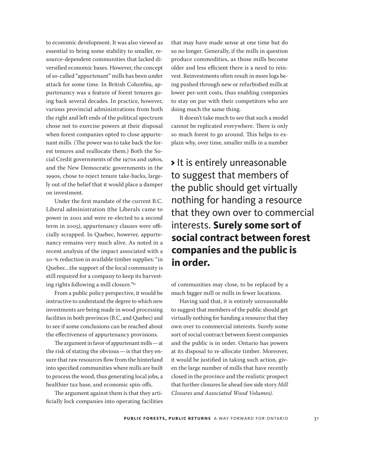to economic development. It was also viewed as essential to bring some stability to smaller, resource-dependent communities that lacked diversified economic bases. However, the concept of so-called "appurtenant" mills has been under attack for some time. In British Columbia, appurtenancy was a feature of forest tenures going back several decades. In practice, however, various provincial administrations from both the right and left ends of the political spectrum chose not to exercise powers at their disposal when forest companies opted to close appurtenant mills. (The power was to take back the forest tenures and reallocate them.) Both the Social Credit governments of the 1970s and 1980s, and the New Democratic governments in the 1990s, chose to reject tenure take-backs, largely out of the belief that it would place a damper on investment.

Under the first mandate of the current B.C. Liberal administration (the Liberals came to power in 2001 and were re-elected to a second term in 2005), appurtenancy clauses were officially scrapped. In Quebec, however, appurtenancy remains very much alive. As noted in a recent analysis of the impact associated with a 20-% reduction in available timber supplies: "in Quebec...the support of the local community is still required for a company to keep its harvesting rights following a mill closure."45

From a public policy perspective, it would be instructive to understand the degree to which new investments are being made in wood processing facilities in both provinces (B.C, and Quebec) and to see if some conclusions can be reached about the effectiveness of appurtenancy provisions.

The argument in favor of appurtenant mills—at the risk of stating the obvious—is that they ensure that raw resources flow from the hinterland into specified communities where mills are built to process the wood, thus generating local jobs, a healthier tax base, and economic spin-offs.

The argument against them is that they artificially lock companies into operating facilities that may have made sense at one time but do so no longer. Generally, if the mills in question produce commodities, as those mills become older and less efficient there is a need to reinvest. Reinvestments often result in more logs being pushed through new or refurbished mills at lower per-unit costs, thus enabling companies to stay on par with their competitors who are doing much the same thing.

It doesn't take much to see that such a model cannot be replicated everywhere. There is only so much forest to go around. This helps to explain why, over time, smaller mills in a number

> It is entirely unreasonable to suggest that members of the public should get virtually nothing for handing a resource that they own over to commercial interests. **Surely some sort of social contract between forest companies and the public is in order.**

of communities may close, to be replaced by a much bigger mill or mills in fewer locations.

Having said that, it is entirely unreasonable to suggest that members of the public should get virtually nothing for handing a resource that they own over to commercial interests. Surely some sort of social contract between forest companies and the public is in order. Ontario has powers at its disposal to re-allocate timber. Moreover, it would be justified in taking such action, given the large number of mills that have recently closed in the province and the realistic prospect that further closures lie ahead *(*see side story *Mill Closures and Associated Wood Volumes)*.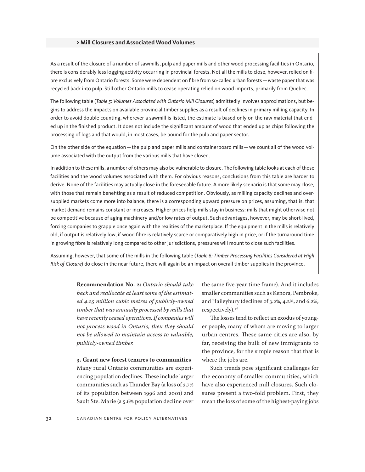### > **Mill Closures and Associated Wood Volumes**

As a result of the closure of a number of sawmills, pulp and paper mills and other wood processing facilities in Ontario, there is considerably less logging activity occurring in provincial forests. Not all the mills to close, however, relied on fibre exclusively from Ontario forests. Some were dependent on fibre from so-called urban forests—waste paper that was recycled back into pulp. Still other Ontario mills to cease operating relied on wood imports, primarily from Quebec.

The following table (*Table 5: Volumes Associated with Ontario Mill Closures*) admittedly involves approximations, but begins to address the impacts on available provincial timber supplies as a result of declines in primary milling capacity. In order to avoid double counting, wherever a sawmill is listed, the estimate is based only on the raw material that ended up in the finished product. It does not include the significant amount of wood that ended up as chips following the processing of logs and that would, in most cases, be bound for the pulp and paper sector.

On the other side of the equation—the pulp and paper mills and containerboard mills—we count all of the wood volume associated with the output from the various mills that have closed.

In addition to these mills, a number of others may also be vulnerable to closure. The following table looks at each of those facilities and the wood volumes associated with them. For obvious reasons, conclusions from this table are harder to derive. None of the facilities may actually close in the foreseeable future. A more likely scenario is that some may close, with those that remain benefiting as a result of reduced competition. Obviously, as milling capacity declines and oversupplied markets come more into balance, there is a corresponding upward pressure on prices, assuming, that is, that market demand remains constant or increases. Higher prices help mills stay in business: mills that might otherwise not be competitive because of aging machinery and/or low rates of output. Such advantages, however, may be short-lived, forcing companies to grapple once again with the realities of the marketplace. If the equipment in the mills is relatively old, if output is relatively low, if wood fibre is relatively scarce or comparatively high in price, or if the turnaround time in growing fibre is relatively long compared to other jurisdictions, pressures will mount to close such facilities.

Assuming, however, that some of the mills in the following table (*Table 6: Timber Processing Facilities Considered at High Risk of Closure*) do close in the near future, there will again be an impact on overall timber supplies in the province.

> **Recommendation No. 2:** *Ontario should take back and reallocate at least some of the estimated 4.25 million cubic metres of publicly-owned timber that was annually processed by mills that have recently ceased operations. If companies will not process wood in Ontario, then they should not be allowed to maintain access to valuable, publicly-owned timber.*

> **3. Grant new forest tenures to communities** Many rural Ontario communities are experiencing population declines. These include larger communities such as Thunder Bay (a loss of 3.7% of its population between 1996 and 2001) and Sault Ste. Marie (a 5.6% population decline over

the same five-year time frame). And it includes smaller communities such as Kenora, Pembroke, and Haileybury (declines of 3.2%, 4.2%, and 6.2%, respectively).46

The losses tend to reflect an exodus of younger people, many of whom are moving to larger urban centres. These same cities are also, by far, receiving the bulk of new immigrants to the province, for the simple reason that that is where the jobs are.

Such trends pose significant challenges for the economy of smaller communities, which have also experienced mill closures. Such closures present a two-fold problem. First, they mean the loss of some of the highest-paying jobs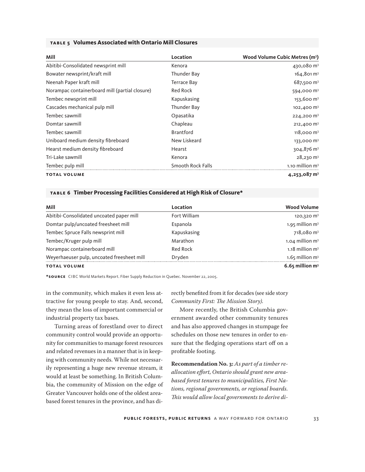|  | TABLE 5 Volumes Associated with Ontario Mill Closures |  |
|--|-------------------------------------------------------|--|
|--|-------------------------------------------------------|--|

| Mill                                           | Location                 | Wood Volume Cubic Metres (m <sup>3</sup> ) |
|------------------------------------------------|--------------------------|--------------------------------------------|
| Abitibi-Consolidated newsprint mill            | Kenora                   | 430,080 m <sup>3</sup>                     |
| Bowater newsprint/kraft mill                   | Thunder Bay              | $164,801 \text{ m}^3$                      |
| Neenah Paper kraft mill                        | <b>Terrace Bay</b>       | 687,500 m <sup>3</sup>                     |
| Norampac containerboard mill (partial closure) | <b>Red Rock</b>          | $594,000 \text{ m}^3$                      |
| Tembec newsprint mill                          | Kapuskasing              | $153,600 \text{ m}^3$                      |
| Cascades mechanical pulp mill                  | Thunder Bay              | $102,400 \text{ m}^3$                      |
| Tembec sawmill                                 | Opasatika                | 224,200 m <sup>3</sup>                     |
| Domtar sawmill                                 | Chapleau                 | 212,400 $\,$ m <sup>3</sup>                |
| Tembec sawmill                                 | <b>Brantford</b>         | $118,000 \text{ m}^3$                      |
| Uniboard medium density fibreboard             | New Liskeard             | 133,000 m <sup>3</sup>                     |
| Hearst medium density fibreboard               | Hearst                   | $304,876$ m <sup>3</sup>                   |
| Tri-Lake sawmill                               | Kenora                   | $28,230 \text{ m}^3$                       |
| Tembec pulp mill                               | <b>Smooth Rock Falls</b> | $1.10$ million m <sup>3</sup>              |
| <b>TOTAL VOLUME</b>                            |                          | 4,253,087 m <sup>3</sup>                   |

#### **table 6 Timber Processing Facilities Considered at High Risk of Closure\***

| Mill                                       | Location     | <b>Wood Volume</b>            |
|--------------------------------------------|--------------|-------------------------------|
| Abitibi-Consolidated uncoated paper mill   | Fort William | 120,320 m <sup>3</sup>        |
| Domtar pulp/uncoated freesheet mill        | Espanola     | 1.95 million $m3$             |
| Tembec Spruce Falls newsprint mill         | Kapuskasing  | $718,080 \text{ m}^3$         |
| Tembec/Kruger pulp mill                    | Marathon     | 1.04 million $m3$             |
| Norampac containerboard mill               | Red Rock     | $1.18$ million m <sup>3</sup> |
| Weyerhaeuser pulp, uncoated freesheet mill | Dryden       | $1.65$ million m <sup>3</sup> |
| <b>TOTAL VOLUME</b>                        |              | $6.65$ million m <sup>3</sup> |

**\*so u rce** CIBC World Markets Report. Fiber Supply Reduction in Quebec. November 22, 2005.

in the community, which makes it even less attractive for young people to stay. And, second, they mean the loss of important commercial or industrial property tax bases.

Turning areas of forestland over to direct community control would provide an opportunity for communities to manage forest resources and related revenues in a manner that is in keeping with community needs. While not necessarily representing a huge new revenue stream, it would at least be something. In British Columbia, the community of Mission on the edge of Greater Vancouver holds one of the oldest areabased forest tenures in the province, and has directly benefited from it for decades (see side stor*y Community First: The Mission Story).*

More recently, the British Columbia government awarded other community tenures and has also approved changes in stumpage fee schedules on those new tenures in order to ensure that the fledging operations start off on a profitable footing.

**Recommendation No. 3:** *As part of a timber reallocation effort, Ontario should grant new areabased forest tenures to municipalities, First Nations, regional governments, or regional boards. This would allow local governments to derive di-*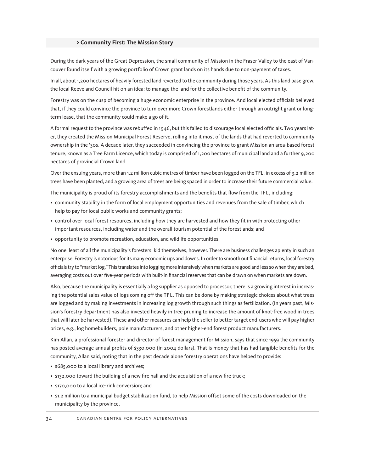#### > **Community First: The Mission Story**

During the dark years of the Great Depression, the small community of Mission in the Fraser Valley to the east of Vancouver found itself with a growing portfolio of Crown grant lands on its hands due to non-payment of taxes.

In all, about 1,200 hectares of heavily forested land reverted to the community during those years. As this land base grew, the local Reeve and Council hit on an idea: to manage the land for the collective benefit of the community.

Forestry was on the cusp of becoming a huge economic enterprise in the province. And local elected officials believed that, if they could convince the province to turn over more Crown forestlands either through an outright grant or longterm lease, that the community could make a go of it.

A formal request to the province was rebuffed in 1946, but this failed to discourage local elected officials. Two years later, they created the Mission Municipal Forest Reserve, rolling into it most of the lands that had reverted to community ownership in the '30s. A decade later, they succeeded in convincing the province to grant Mission an area-based forest tenure, known as a Tree Farm Licence, which today is comprised of 1,200 hectares of municipal land and a further 9,200 hectares of provincial Crown land.

Over the ensuing years, more than 1.2 million cubic metres of timber have been logged on the TFL, in excess of 3.2 million trees have been planted, and a growing area of trees are being spaced in order to increase their future commercial value.

The municipality is proud of its forestry accomplishments and the benefits that flow from the TFL, including:

- community stability in the form of local employment opportunities and revenues from the sale of timber, which help to pay for local public works and community grants;
- control over local forest resources, including how they are harvested and how they fit in with protecting other important resources, including water and the overall tourism potential of the forestlands; and
- opportunity to promote recreation, education, and wildlife opportunities.

No one, least of all the municipality's foresters, kid themselves, however. There are business challenges aplenty in such an enterprise. Forestry is notorious for its many economic ups and downs. In order to smooth out financial returns, local forestry officials try to "market log." This translates into logging more intensively when markets are good and less so when they are bad, averaging costs out over five-year periods with built-in financial reserves that can be drawn on when markets are down.

Also, because the municipality is essentially a log supplier as opposed to processor, there is a growing interest in increasing the potential sales value of logs coming off the TFL. This can be done by making strategic choices about what trees are logged and by making investments in increasing log growth through such things as fertilization. (In years past, Mission's forestry department has also invested heavily in tree pruning to increase the amount of knot-free wood in trees that will later be harvested). These and other measures can help the seller to better target end-users who will pay higher prices, e.g., log homebuilders, pole manufacturers, and other higher-end forest product manufacturers.

Kim Allan, a professional forester and director of forest management for Mission, says that since 1959 the community has posted average annual profits of \$330,000 (in 2004 dollars). That is money that has had tangible benefits for the community, Allan said, noting that in the past decade alone forestry operations have helped to provide:

- \$685,000 to a local library and archives;
- \$132,000 toward the building of a new fire hall and the acquisition of a new fire truck;
- \$170,000 to a local ice-rink conversion; and
- \$1.2 million to a municipal budget stabilization fund, to help Mission offset some of the costs downloaded on the municipality by the province.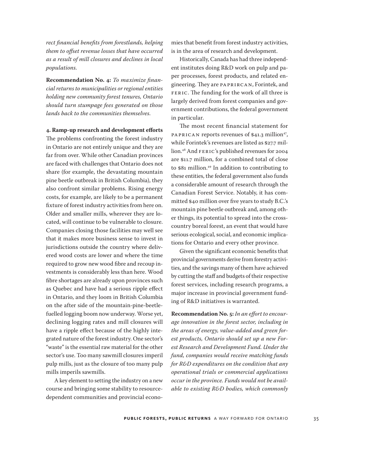*rect financial benefits from forestlands, helping them to offset revenue losses that have occurred as a result of mill closures and declines in local populations.*

**Recommendation No. 4:** *To maximize financial returns to municipalities or regional entities holding new community forest tenures, Ontario should turn stumpage fees generated on those lands back to the communities themselves.*

**4. Ramp-up research and development efforts** The problems confronting the forest industry in Ontario are not entirely unique and they are far from over. While other Canadian provinces are faced with challenges that Ontario does not share (for example, the devastating mountain pine beetle outbreak in British Columbia), they also confront similar problems. Rising energy costs, for example, are likely to be a permanent fixture of forest industry activities from here on. Older and smaller mills, wherever they are located, will continue to be vulnerable to closure. Companies closing those facilities may well see that it makes more business sense to invest in jurisdictions outside the country where delivered wood costs are lower and where the time required to grow new wood fibre and recoup investments is considerably less than here. Wood fibre shortages are already upon provinces such as Quebec and have had a serious ripple effect in Ontario, and they loom in British Columbia on the after side of the mountain-pine-beetlefuelled logging boom now underway. Worse yet, declining logging rates and mill closures will have a ripple effect because of the highly integrated nature of the forest industry. One sector's "waste" is the essential raw material for the other sector's use. Too many sawmill closures imperil pulp mills, just as the closure of too many pulp mills imperils sawmills.

A key element to setting the industry on a new course and bringing some stability to resourcedependent communities and provincial econo-

mies that benefit from forest industry activities, is in the area of research and development.

Historically, Canada has had three independent institutes doing R&D work on pulp and paper processes, forest products, and related engineering. They are PAPRIRCAN, Forintek, and FERIC. The funding for the work of all three is largely derived from forest companies and government contributions, the federal government in particular.

The most recent financial statement for PAPRICAN reports revenues of  $$41.3$  million<sup>47</sup>, while Forintek's revenues are listed as \$27.7 million.48 And FERIC's published revenues for 2004 are \$11.7 million, for a combined total of close to \$81 million.49 In addition to contributing to these entities, the federal government also funds a considerable amount of research through the Canadian Forest Service. Notably, it has committed \$40 million over five years to study B.C.'s mountain pine beetle outbreak and, among other things, its potential to spread into the crosscountry boreal forest, an event that would have serious ecological, social, and economic implications for Ontario and every other province.

Given the significant economic benefits that provincial governments derive from forestry activities, and the savings many of them have achieved by cutting the staff and budgets of their respective forest services, including research programs, a major increase in provincial government funding of R&D initiatives is warranted.

**Recommendation No. 5:** *In an effort to encourage innovation in the forest sector, including in the areas of energy, value-added and green forest products, Ontario should set up a new Forest Research and Development Fund. Under the fund, companies would receive matching funds for R&D expenditures on the condition that any operational trials or commercial applications occur in the province. Funds would not be available to existing R&D bodies, which commonly*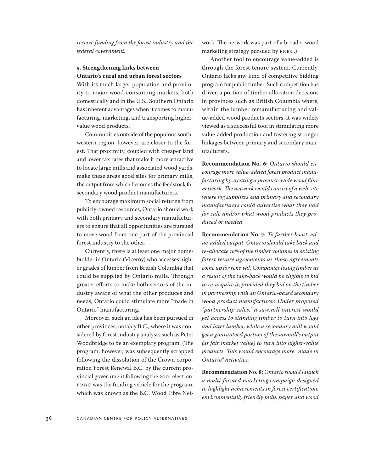*receive funding from the forest industry and the federal government.*

### **5. Strengthening links between Ontario's rural and urban forest sectors**

With its much larger population and proximity to major wood-consuming markets, both domestically and in the U.S., Southern Ontario has inherent advantages when it comes to manufacturing, marketing, and transporting highervalue wood products.

Communities outside of the populous southwestern region, however, are closer to the forest. That proximity, coupled with cheaper land and lower tax rates that make it more attractive to locate large mills and associated wood yards, make these areas good sites for primary mills, the output from which becomes the feedstock for secondary wood product manufacturers.

To encourage maximum social returns from publicly-owned resources, Ontario should work with both primary and secondary manufacturers to ensure that all opportunities are pursued to move wood from one part of the provincial forest industry to the other.

Currently, there is at least one major homebuilder in Ontario (Viceroy) who accesses higher grades of lumber from British Columbia that could be supplied by Ontario mills. Through greater efforts to make both sectors of the industry aware of what the other produces and needs, Ontario could stimulate more "made in Ontario" manufacturing.

Moreover, such an idea has been pursued in other provinces, notably B.C., where it was considered by forest industry analysts such as Peter Woodbridge to be an exemplary program. (The program, however, was subsequently scrapped following the dissolution of the Crown corporation Forest Renewal B.C. by the current provincial government following the 2001 election. FRBC was the funding vehicle for the program, which was known as the B.C. Wood Fibre Network. The network was part of a broader wood marketing strategy pursued by FRBC.)

Another tool to encourage value-added is through the forest tenure system. Currently, Ontario lacks any kind of competitive bidding program for public timber. Such competition has driven a portion of timber allocation decisions in provinces such as British Columbia where, within the lumber remanufacturing and value-added wood products sectors, it was widely viewed as a successful tool in stimulating more value-added production and fostering stronger linkages between primary and secondary manufacturers.

**Recommendation No. 6:** *Ontario should encourage more value-added forest product manufacturing by creating a province-wide wood fibre network. The network would consist of a web-site where log suppliers and primary and secondary manufacturers could advertise what they had for sale and/or what wood products they produced or needed.*

**Recommendation No. 7:** *To further boost value-added output, Ontario should take back and re-allocate 10% of the timber volumes in existing forest tenure agreements as those agreements come up for renewal. Companies losing timber as a result of the take-back would be eligible to bid to re-acquire it, provided they bid on the timber in partnership with an Ontario-based secondary wood product manufacturer. Under proposed "partnership sales," a sawmill interest would get access to standing timber to turn into logs and later lumber, while a secondary mill would get a guaranteed portion of the sawmill's output (at fair market value) to turn into higher-value products. This would encourage more "made in Ontario" activities.*

**Recommendation No. 8:** *Ontario should launch a multi-faceted marketing campaign designed to highlight achievements in forest certification, environmentally friendly pulp, paper and wood*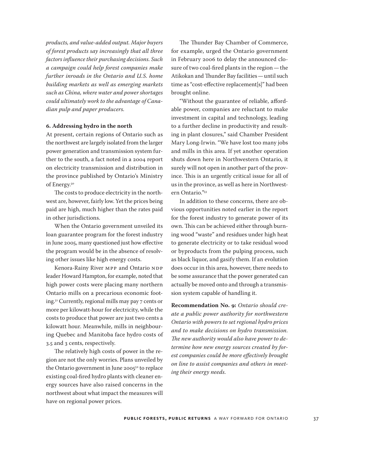*products, and value-added output. Major buyers of forest products say increasingly that all three factors influence their purchasing decisions. Such a campaign could help forest companies make further inroads in the Ontario and U.S. home building markets as well as emerging markets such as China, where water and power shortages could ultimately work to the advantage of Canadian pulp and paper producers.*

#### **6. Addressing hydro in the north**

At present, certain regions of Ontario such as the northwest are largely isolated from the larger power generation and transmission system further to the south, a fact noted in a 2004 report on electricity transmission and distribution in the province published by Ontario's Ministry of Energy.50

The costs to produce electricity in the northwest are, however, fairly low. Yet the prices being paid are high, much higher than the rates paid in other jurisdictions.

When the Ontario government unveiled its loan guarantee program for the forest industry in June 2005, many questioned just how effective the program would be in the absence of resolving other issues like high energy costs.

Kenora-Rainy River MPP and Ontario NDP leader Howard Hampton, for example, noted that high power costs were placing many northern Ontario mills on a precarious economic footing.51 Currently, regional mills may pay 7 cents or more per kilowatt-hour for electricity, while the costs to produce that power are just two cents a kilowatt hour. Meanwhile, mills in neighbouring Quebec and Manitoba face hydro costs of 3.5 and 3 cents, respectively.

The relatively high costs of power in the region are not the only worries. Plans unveiled by the Ontario government in June 2005<sup>52</sup> to replace existing coal-fired hydro plants with cleaner energy sources have also raised concerns in the northwest about what impact the measures will have on regional power prices.

The Thunder Bay Chamber of Commerce, for example, urged the Ontario government in February 2006 to delay the announced closure of two coal-fired plants in the region—the Atikokan and Thunder Bay facilities—until such time as "cost-effective replacement[s]" had been brought online.

"Without the guarantee of reliable, affordable power, companies are reluctant to make investment in capital and technology, leading to a further decline in productivity and resulting in plant closures," said Chamber President Mary Long-Irwin. "We have lost too many jobs and mills in this area. If yet another operation shuts down here in Northwestern Ontario, it surely will not open in another part of the province. This is an urgently critical issue for all of us in the province, as well as here in Northwestern Ontario."53

In addition to these concerns, there are obvious opportunities noted earlier in the report for the forest industry to generate power of its own. This can be achieved either through burning wood "waste" and residues under high heat to generate electricity or to take residual wood or byproducts from the pulping process, such as black liquor, and gasify them. If an evolution does occur in this area, however, there needs to be some assurance that the power generated can actually be moved onto and through a transmission system capable of handling it.

**Recommendation No. 9:** *Ontario should create a public power authority for northwestern Ontario with powers to set regional hydro prices and to make decisions on hydro transmission. The new authority would also have power to determine how new energy sources created by forest companies could be more effectively brought on line to assist companies and others in meeting their energy needs.*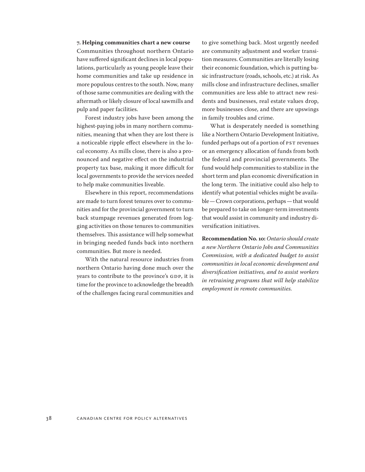**7. Helping communities chart a new course** Communities throughout northern Ontario have suffered significant declines in local populations, particularly as young people leave their home communities and take up residence in more populous centres to the south. Now, many of those same communities are dealing with the aftermath or likely closure of local sawmills and pulp and paper facilities.

Forest industry jobs have been among the highest-paying jobs in many northern communities, meaning that when they are lost there is a noticeable ripple effect elsewhere in the local economy. As mills close, there is also a pronounced and negative effect on the industrial property tax base, making it more difficult for local governments to provide the services needed to help make communities liveable.

Elsewhere in this report, recommendations are made to turn forest tenures over to communities and for the provincial government to turn back stumpage revenues generated from logging activities on those tenures to communities themselves. This assistance will help somewhat in bringing needed funds back into northern communities. But more is needed.

With the natural resource industries from northern Ontario having done much over the years to contribute to the province's GDP, it is time for the province to acknowledge the breadth of the challenges facing rural communities and to give something back. Most urgently needed are community adjustment and worker transition measures. Communities are literally losing their economic foundation, which is putting basic infrastructure (roads, schools, etc.) at risk. As mills close and infrastructure declines, smaller communities are less able to attract new residents and businesses, real estate values drop, more businesses close, and there are upswings in family troubles and crime.

What is desperately needed is something like a Northern Ontario Development Initiative, funded perhaps out of a portion of PST revenues or an emergency allocation of funds from both the federal and provincial governments. The fund would help communities to stabilize in the short term and plan economic diversification in the long term. The initiative could also help to identify what potential vehicles might be available—Crown corporations, perhaps—that would be prepared to take on longer-term investments that would assist in community and industry diversification initiatives.

**Recommendation No. 10:** *Ontario should create a new Northern Ontario Jobs and Communities Commission, with a dedicated budget to assist communities in local economic development and diversification initiatives, and to assist workers in retraining programs that will help stabilize employment in remote communities.*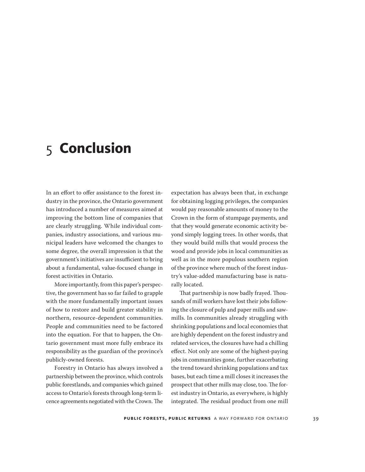# <span id="page-38-0"></span>5 **Conclusion**

In an effort to offer assistance to the forest industry in the province, the Ontario government has introduced a number of measures aimed at improving the bottom line of companies that are clearly struggling. While individual companies, industry associations, and various municipal leaders have welcomed the changes to some degree, the overall impression is that the government's initiatives are insufficient to bring about a fundamental, value-focused change in forest activities in Ontario.

More importantly, from this paper's perspective, the government has so far failed to grapple with the more fundamentally important issues of how to restore and build greater stability in northern, resource-dependent communities. People and communities need to be factored into the equation. For that to happen, the Ontario government must more fully embrace its responsibility as the guardian of the province's publicly-owned forests.

Forestry in Ontario has always involved a partnership between the province, which controls public forestlands, and companies which gained access to Ontario's forests through long-term licence agreements negotiated with the Crown. The expectation has always been that, in exchange for obtaining logging privileges, the companies would pay reasonable amounts of money to the Crown in the form of stumpage payments, and that they would generate economic activity beyond simply logging trees. In other words, that they would build mills that would process the wood and provide jobs in local communities as well as in the more populous southern region of the province where much of the forest industry's value-added manufacturing base is naturally located.

That partnership is now badly frayed. Thousands of mill workers have lost their jobs following the closure of pulp and paper mills and sawmills. In communities already struggling with shrinking populations and local economies that are highly dependent on the forest industry and related services, the closures have had a chilling effect. Not only are some of the highest-paying jobs in communities gone, further exacerbating the trend toward shrinking populations and tax bases, but each time a mill closes it increases the prospect that other mills may close, too. The forest industry in Ontario, as everywhere, is highly integrated. The residual product from one mill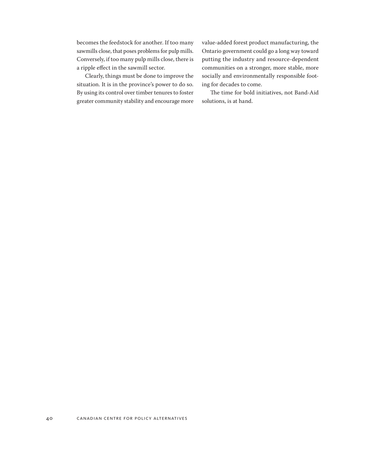becomes the feedstock for another. If too many sawmills close, that poses problems for pulp mills. Conversely, if too many pulp mills close, there is a ripple effect in the sawmill sector.

Clearly, things must be done to improve the situation. It is in the province's power to do so. By using its control over timber tenures to foster greater community stability and encourage more value-added forest product manufacturing, the Ontario government could go a long way toward putting the industry and resource-dependent communities on a stronger, more stable, more socially and environmentally responsible footing for decades to come.

The time for bold initiatives, not Band-Aid solutions, is at hand.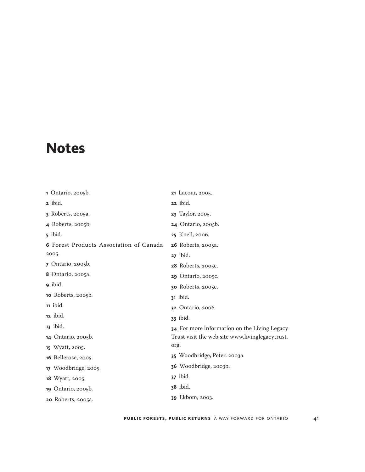# <span id="page-40-0"></span>**Notes**

| 1 Ontario, 2005b.                              | <b>21</b> Lacour, 2005.                         |
|------------------------------------------------|-------------------------------------------------|
| <b>2</b> ibid.                                 | 22 ibid.                                        |
| <b>3</b> Roberts, 2005a.                       | 23 Taylor, 2005.                                |
| 4 Roberts, 2005b.                              | <b>24</b> Ontario, 2005b.                       |
| 5 ibid.                                        | <b>25</b> Knell, 2006.                          |
| <b>6</b> Forest Products Association of Canada | <b>26</b> Roberts, 2005a.                       |
| 2005.                                          | $27$ ibid.                                      |
| 7 Ontario, 2005b.                              | <b>28</b> Roberts, 2005C.                       |
| 8 Ontario, 2005a.                              | 29 Ontario, 2005C.                              |
| g ibid.                                        | 30 Roberts, 2005C.                              |
| 10 Roberts, 2005b.                             | <b>31</b> ibid.                                 |
| 11 ibid.                                       | 32 Ontario, 2006.                               |
| 12 ibid.                                       | <b>33</b> ibid.                                 |
| <b>13</b> ibid.                                | 34 For more information on the Living Legacy    |
| <b>14</b> Ontario, 2005b.                      | Trust visit the web site www.livinglegacytrust. |
| 15 Wyatt, 2005.                                | org.                                            |
| <b>16</b> Bellerose, 2005.                     | 35 Woodbridge, Peter. 2003a.                    |
| 17 Woodbridge, 2005.                           | 36 Woodbridge, 2003b.                           |
| 18 Wyatt, 2005.                                | <b>37</b> ibid.                                 |
| 19 Ontario, 2005b.                             | <b>38</b> ibid.                                 |
| <b>20</b> Roberts, 2005a.                      | <b>39</b> Ekbom, 2003.                          |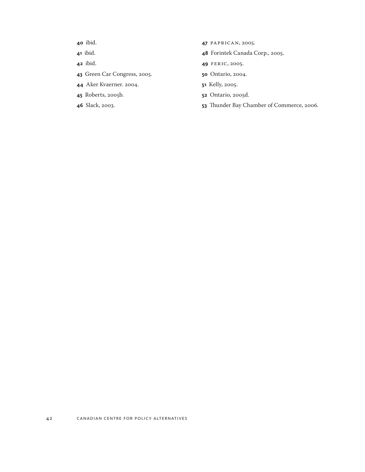- ibid.
- ibid.
- ibid.
- Green Car Congress, 2005.
- Aker Kvaerner. 2004.
- Roberts, 2005b.
- Slack, 2003.
- PAPRICAN, 2005.
- Forintek Canada Corp., 2005.
- FERIC, 2005.
- Ontario, 2004.
- Kelly, 2005.
- Ontario, 2005d.
- Thunder Bay Chamber of Commerce, 2006.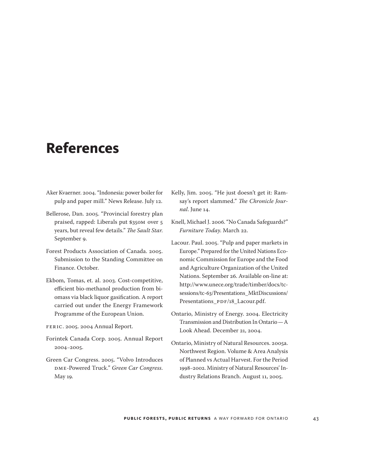# <span id="page-42-0"></span>**References**

- Aker Kvaerner. 2004. "Indonesia: power boiler for pulp and paper mill." News Release. July 12.
- Bellerose, Dan. 2005. "Provincial forestry plan praised, rapped: Liberals put \$350M over 5 years, but reveal few details." *The Sault Star*. September 9.
- Forest Products Association of Canada. 2005. Submission to the Standing Committee on Finance. October.
- Ekbom, Tomas, et. al. 2003. Cost-competitive, efficient bio-methanol production from biomass via black liquor gasification. A report carried out under the Energy Framework Programme of the European Union.
- FERIC. 2005. 2004 Annual Report.
- Forintek Canada Corp. 2005. Annual Report 2004–2005.
- Green Car Congress. 2005. "Volvo Introduces DME-Powered Truck." *Green Car Congress*. May 19.
- Kelly, Jim. 2005. "He just doesn't get it: Ramsay's report slammed." *The Chronicle Journal*. June 14.
- Knell, Michael J. 2006. "No Canada Safeguards?" *Furniture Today*. March 22.
- Lacour. Paul. 2005. "Pulp and paper markets in Europe." Prepared for the United Nations Economic Commission for Europe and the Food and Agriculture Organization of the United Nations. September 26. Available on-line at: [http://www.unece.org/trade/timber/docs/tc](http://www.unece.org/trade/timber/docs/tc-sessions/tc-63/Presentations_MktDiscussions/Presentations_PDF/18_Lacour.pdf)[sessions/tc-63/Presentations\\_MktDiscussions/](http://www.unece.org/trade/timber/docs/tc-sessions/tc-63/Presentations_MktDiscussions/Presentations_PDF/18_Lacour.pdf) [Presentations\\_PDF/18\\_Lacour.pdf.](http://www.unece.org/trade/timber/docs/tc-sessions/tc-63/Presentations_MktDiscussions/Presentations_PDF/18_Lacour.pdf)
- Ontario, Ministry of Energy. 2004. Electricity Transmission and Distribution In Ontario—A Look Ahead. December 21, 2004.
- Ontario, Ministry of Natural Resources. 2005a. Northwest Region. Volume & Area Analysis of Planned vs Actual Harvest. For the Period 1998–2002. Ministry of Natural Resources' Industry Relations Branch. August 11, 2005.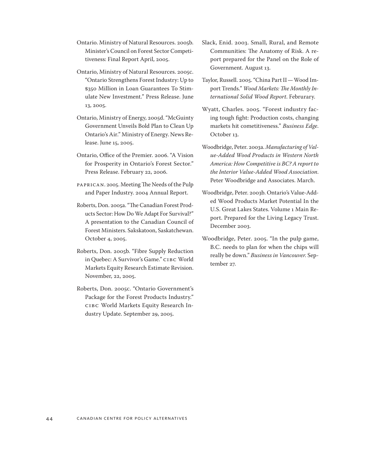Ontario. Ministry of Natural Resources. 2005b. Minister's Council on Forest Sector Competitiveness: Final Report April, 2005.

- Ontario, Ministry of Natural Resources. 2005c. "Ontario Strengthens Forest Industry: Up to \$350 Million in Loan Guarantees To Stimulate New Investment." Press Release. June 13, 2005.
- Ontario, Ministry of Energy, 2005d. "McGuinty Government Unveils Bold Plan to Clean Up Ontario's Air." Ministry of Energy. News Release. June 15, 2005.
- Ontario, Office of the Premier. 2006. "A Vision for Prosperity in Ontario's Forest Sector." Press Release. February 22, 2006.
- PAPRICAN. 2005. Meeting The Needs of the Pulp and Paper Industry. 2004 Annual Report.
- Roberts, Don. 2005a. "The Canadian Forest Products Sector: How Do We Adapt For Survival?" A presentation to the Canadian Council of Forest Ministers. Sakskatoon, Saskatchewan. October 4, 2005.
- Roberts, Don. 2005b. "Fibre Supply Reduction in Quebec: A Survivor's Game." CIBC World Markets Equity Research Estimate Revision. November, 22, 2005.
- Roberts, Don. 2005c. "Ontario Government's Package for the Forest Products Industry." CIBC World Markets Equity Research Industry Update. September 29, 2005.
- Slack, Enid. 2003. Small, Rural, and Remote Communities: The Anatomy of Risk. A report prepared for the Panel on the Role of Government. August 13.
- Taylor, Russell. 2005. "China Part II—Wood Import Trends." *Wood Markets: The Monthly International Solid Wood Report*. Februrary.
- Wyatt, Charles. 2005. "Forest industry facing tough fight: Production costs, changing markets hit cometitiveness." *Business Edge*. October 13.
- Woodbridge, Peter. 2003a. *Manufacturing of Value-Added Wood Products in Western North America: How Competitive is BC? A report to the Interior Value-Added Wood Association*. Peter Woodbridge and Associates. March.
- Woodbridge, Peter. 2003b. Ontario's Value-Added Wood Products Market Potential In the U.S. Great Lakes States. Volume 1 Main Report. Prepared for the Living Legacy Trust. December 2003.
- Woodbridge, Peter. 2005. "In the pulp game, B.C. needs to plan for when the chips will really be down." *Business in Vancouver*. September 27.